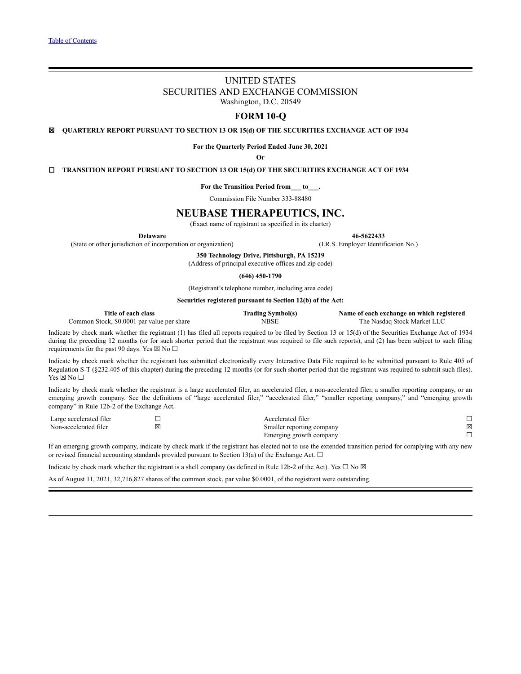# UNITED STATES SECURITIES AND EXCHANGE COMMISSION Washington, D.C. 20549

# **FORM 10-Q**

☒ **QUARTERLY REPORT PURSUANT TO SECTION 13 OR 15(d) OF THE SECURITIES EXCHANGE ACT OF 1934**

**For the Quarterly Period Ended June 30, 2021**

**Or**

☐ **TRANSITION REPORT PURSUANT TO SECTION 13 OR 15(d) OF THE SECURITIES EXCHANGE ACT OF 1934**

**For the Transition Period from\_\_\_ to\_\_\_.**

Commission File Number 333-88480

# **NEUBASE THERAPEUTICS, INC.**

(Exact name of registrant as specified in its charter)

**Delaware 46-5622433**

(State or other jurisdiction of incorporation or organization) (I.R.S. Employer Identification No.)

**350 Technology Drive, Pittsburgh, PA 15219**

(Address of principal executive offices and zip code)

**(646) 450-1790**

(Registrant's telephone number, including area code)

**Securities registered pursuant to Section 12(b) of the Act:**

| Title of each class                        | <b>Trading Symbol(s)</b> | Name of each exchange on which registered |
|--------------------------------------------|--------------------------|-------------------------------------------|
| Common Stock, \$0,0001 par value per share | <b>NBSE</b>              | The Nasdag Stock Market LLC               |

Indicate by check mark whether the registrant (1) has filed all reports required to be filed by Section 13 or 15(d) of the Securities Exchange Act of 1934 during the preceding 12 months (or for such shorter period that the registrant was required to file such reports), and (2) has been subject to such filing requirements for the past 90 days. Yes  $\boxtimes$  No  $\Box$ 

Indicate by check mark whether the registrant has submitted electronically every Interactive Data File required to be submitted pursuant to Rule 405 of Regulation S-T (§232.405 of this chapter) during the preceding 12 months (or for such shorter period that the registrant was required to submit such files). Yes ⊠ No □

Indicate by check mark whether the registrant is a large accelerated filer, an accelerated filer, a non-accelerated filer, a smaller reporting company, or an emerging growth company. See the definitions of "large accelerated filer," "accelerated filer," "smaller reporting company," and "emerging growth company" in Rule 12b-2 of the Exchange Act.

| Large accelerated filer | Accelerated filer         |   |
|-------------------------|---------------------------|---|
| Non-accelerated filer   | Smaller reporting company | ⊠ |
|                         | Emerging growth company   |   |

If an emerging growth company, indicate by check mark if the registrant has elected not to use the extended transition period for complying with any new or revised financial accounting standards provided pursuant to Section 13(a) of the Exchange Act.  $\Box$ 

Indicate by check mark whether the registrant is a shell company (as defined in Rule 12b-2 of the Act). Yes  $\Box$  No  $\boxtimes$ 

As of August 11, 2021, 32,716,827 shares of the common stock, par value \$0.0001, of the registrant were outstanding.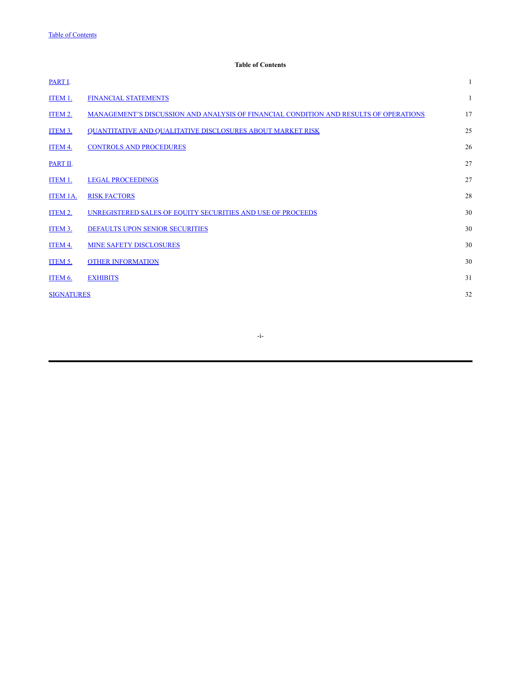# **Table of Contents**

<span id="page-1-0"></span>

| PART I.           |                                                                                       |    |
|-------------------|---------------------------------------------------------------------------------------|----|
| ITEM 1.           | <b>FINANCIAL STATEMENTS</b>                                                           | 1  |
| <b>ITEM 2.</b>    | MANAGEMENT'S DISCUSSION AND ANALYSIS OF FINANCIAL CONDITION AND RESULTS OF OPERATIONS | 17 |
| ITEM 3.           | <b>QUANTITATIVE AND QUALITATIVE DISCLOSURES ABOUT MARKET RISK</b>                     | 25 |
| ITEM 4.           | <b>CONTROLS AND PROCEDURES</b>                                                        | 26 |
| PART II.          |                                                                                       | 27 |
| ITEM 1.           | <b>LEGAL PROCEEDINGS</b>                                                              | 27 |
| <b>ITEM 1A.</b>   | <b>RISK FACTORS</b>                                                                   | 28 |
| ITEM 2.           | UNREGISTERED SALES OF EQUITY SECURITIES AND USE OF PROCEEDS                           | 30 |
| ITEM 3.           | DEFAULTS UPON SENIOR SECURITIES                                                       | 30 |
| ITEM 4.           | <b>MINE SAFETY DISCLOSURES</b>                                                        | 30 |
| ITEM 5.           | <b>OTHER INFORMATION</b>                                                              | 30 |
| ITEM 6.           | <b>EXHIBITS</b>                                                                       | 31 |
| <b>SIGNATURES</b> |                                                                                       | 32 |
|                   |                                                                                       |    |

-i-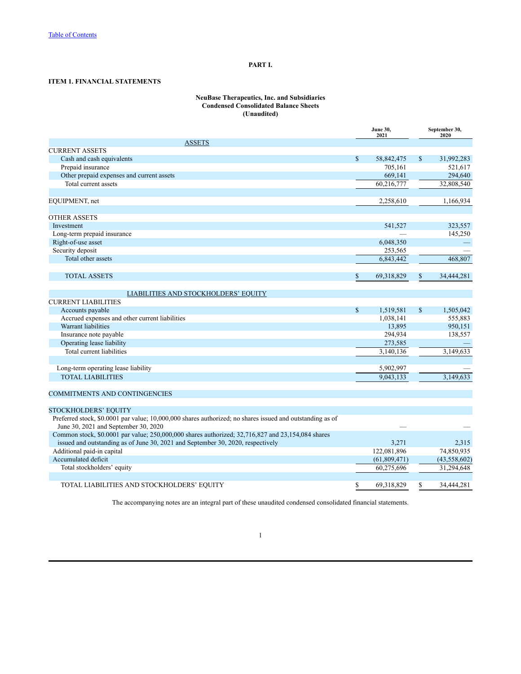# **PART I.**

# <span id="page-2-1"></span><span id="page-2-0"></span>**ITEM 1. FINANCIAL STATEMENTS**

#### **NeuBase Therapeutics, Inc. and Subsidiaries Condensed Consolidated Balance Sheets (Unaudited)**

|                                                                                                           |              | June 30,<br>2021 |              | September 30,<br>2020 |
|-----------------------------------------------------------------------------------------------------------|--------------|------------------|--------------|-----------------------|
| <b>ASSETS</b>                                                                                             |              |                  |              |                       |
| <b>CURRENT ASSETS</b>                                                                                     |              |                  |              |                       |
| Cash and cash equivalents                                                                                 | $\mathbf S$  | 58,842,475       | $\mathbb{S}$ | 31,992,283            |
| Prepaid insurance                                                                                         |              | 705,161          |              | 521,617               |
| Other prepaid expenses and current assets                                                                 |              | 669,141          |              | 294,640               |
| Total current assets                                                                                      |              | 60,216,777       |              | 32,808,540            |
|                                                                                                           |              |                  |              |                       |
| EQUIPMENT, net                                                                                            |              | 2,258,610        |              | 1,166,934             |
| <b>OTHER ASSETS</b>                                                                                       |              |                  |              |                       |
| Investment                                                                                                |              | 541,527          |              | 323,557               |
| Long-term prepaid insurance                                                                               |              |                  |              | 145,250               |
| Right-of-use asset                                                                                        |              | 6,048,350        |              |                       |
| Security deposit                                                                                          |              | 253,565          |              |                       |
| Total other assets                                                                                        |              | 6,843,442        |              | 468,807               |
|                                                                                                           |              |                  |              |                       |
| <b>TOTAL ASSETS</b>                                                                                       | \$           | 69,318,829       | $\mathbf S$  | 34,444,281            |
| LIABILITIES AND STOCKHOLDERS' EQUITY                                                                      |              |                  |              |                       |
| <b>CURRENT LIABILITIES</b>                                                                                |              |                  |              |                       |
| Accounts payable                                                                                          | $\mathbb{S}$ | 1,519,581        | $\mathbb{S}$ | 1,505,042             |
| Accrued expenses and other current liabilities                                                            |              | 1,038,141        |              | 555,883               |
| Warrant liabilities                                                                                       |              | 13,895           |              | 950,151               |
| Insurance note payable                                                                                    |              | 294,934          |              | 138,557               |
| Operating lease liability                                                                                 |              | 273,585          |              |                       |
| Total current liabilities                                                                                 |              | 3,140,136        |              | 3,149,633             |
|                                                                                                           |              |                  |              |                       |
| Long-term operating lease liability                                                                       |              | 5,902,997        |              |                       |
| <b>TOTAL LIABILITIES</b>                                                                                  |              | 9,043,133        |              | 3.149.633             |
|                                                                                                           |              |                  |              |                       |
| <b>COMMITMENTS AND CONTINGENCIES</b>                                                                      |              |                  |              |                       |
| <b>STOCKHOLDERS' EQUITY</b>                                                                               |              |                  |              |                       |
| Preferred stock, \$0.0001 par value; 10,000,000 shares authorized; no shares issued and outstanding as of |              |                  |              |                       |
| June 30, 2021 and September 30, 2020                                                                      |              |                  |              |                       |
| Common stock, \$0.0001 par value; 250,000,000 shares authorized; 32,716,827 and 23,154,084 shares         |              |                  |              |                       |
| issued and outstanding as of June 30, 2021 and September 30, 2020, respectively                           |              | 3,271            |              | 2,315                 |
| Additional paid-in capital                                                                                |              | 122,081,896      |              | 74,850,935            |
| Accumulated deficit                                                                                       |              | (61, 809, 471)   |              | (43, 558, 602)        |
| Total stockholders' equity                                                                                |              | 60,275,696       |              | 31,294,648            |
|                                                                                                           |              |                  |              |                       |
| TOTAL LIABILITIES AND STOCKHOLDERS' EQUITY                                                                | \$           | 69,318,829       | \$           | 34,444,281            |

The accompanying notes are an integral part of these unaudited condensed consolidated financial statements.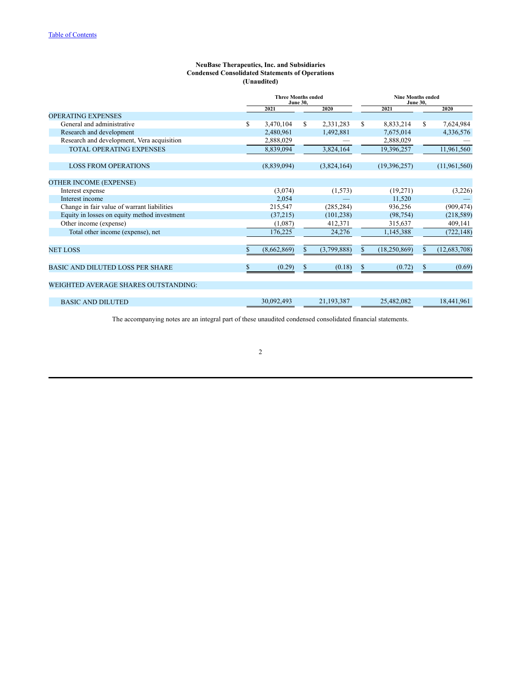# **NeuBase Therapeutics, Inc. and Subsidiaries Condensed Consolidated Statements of Operations (Unaudited)**

|                                              | <b>Three Months ended</b><br><b>June 30,</b> |             |    | <b>Nine Months ended</b><br><b>June 30,</b> |    |                |    |                |
|----------------------------------------------|----------------------------------------------|-------------|----|---------------------------------------------|----|----------------|----|----------------|
|                                              |                                              | 2021        |    | 2020                                        |    | 2021           |    | 2020           |
| <b>OPERATING EXPENSES</b>                    |                                              |             |    |                                             |    |                |    |                |
| General and administrative                   | \$                                           | 3,470,104   | S. | 2,331,283                                   | S  | 8,833,214      | S. | 7,624,984      |
| Research and development                     |                                              | 2,480,961   |    | 1,492,881                                   |    | 7,675,014      |    | 4,336,576      |
| Research and development, Vera acquisition   |                                              | 2,888,029   |    |                                             |    | 2,888,029      |    |                |
| <b>TOTAL OPERATING EXPENSES</b>              |                                              | 8,839,094   |    | 3,824,164                                   |    | 19,396,257     |    | 11,961,560     |
| <b>LOSS FROM OPERATIONS</b>                  |                                              | (8,839,094) |    | (3,824,164)                                 |    | (19,396,257)   |    | (11,961,560)   |
| <b>OTHER INCOME (EXPENSE)</b>                |                                              |             |    |                                             |    |                |    |                |
| Interest expense                             |                                              | (3,074)     |    | (1,573)                                     |    | (19,271)       |    | (3,226)        |
| Interest income                              |                                              | 2,054       |    |                                             |    | 11,520         |    |                |
| Change in fair value of warrant liabilities  |                                              | 215,547     |    | (285, 284)                                  |    | 936,256        |    | (909, 474)     |
| Equity in losses on equity method investment |                                              | (37,215)    |    | (101, 238)                                  |    | (98, 754)      |    | (218, 589)     |
| Other income (expense)                       |                                              | (1,087)     |    | 412,371                                     |    | 315,637        |    | 409,141        |
| Total other income (expense), net            |                                              | 176,225     |    | 24,276                                      |    | 1,145,388      |    | (722, 148)     |
| <b>NET LOSS</b>                              |                                              | (8,662,869) | S. | (3,799,888)                                 | S. | (18, 250, 869) | \$ | (12, 683, 708) |
|                                              |                                              |             |    |                                             |    |                |    |                |
| <b>BASIC AND DILUTED LOSS PER SHARE</b>      | S                                            | (0.29)      | \$ | (0.18)                                      | \$ | (0.72)         | \$ | (0.69)         |
| <b>WEIGHTED AVERAGE SHARES OUTSTANDING:</b>  |                                              |             |    |                                             |    |                |    |                |
| <b>BASIC AND DILUTED</b>                     |                                              | 30,092,493  |    | 21, 193, 387                                |    | 25,482,082     |    | 18,441,961     |

The accompanying notes are an integral part of these unaudited condensed consolidated financial statements.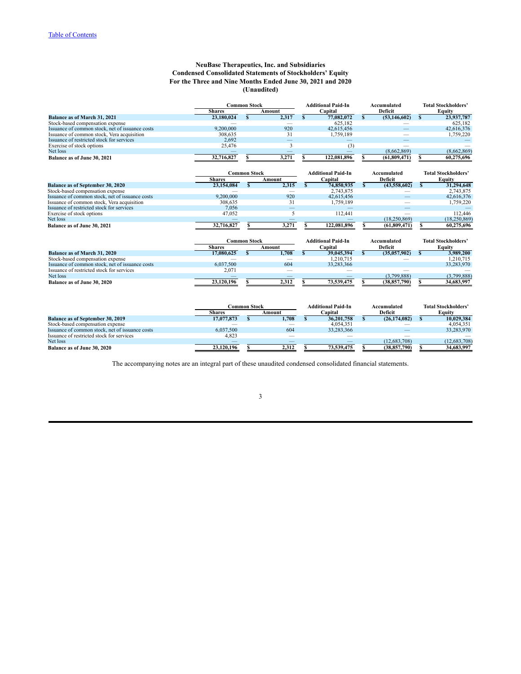# **NeuBase Therapeutics, Inc. and Subsidiaries Condensed Consolidated Statements of Stockholders' Equity For the Three and Nine Months Ended June 30, 2021 and 2020 (Unaudited)**

|                                                 | <b>Common Stock</b> |    |                          |    | <b>Additional Paid-In</b> |    | Accumulated    |    | <b>Total Stockholders'</b> |
|-------------------------------------------------|---------------------|----|--------------------------|----|---------------------------|----|----------------|----|----------------------------|
|                                                 | <b>Shares</b>       |    | Amount                   |    | Capital                   |    | Deficit        |    | Equity                     |
| <b>Balance as of March 31, 2021</b>             | 23,180,024          | S. | 2,317                    | S. | 77,082,072                | S  | (53, 146, 602) | S  | 23,937,787                 |
| Stock-based compensation expense                |                     |    |                          |    | 625.182                   |    |                |    | 625,182                    |
| Issuance of common stock, net of issuance costs | 9.200.000           |    | 920                      |    | 42,615,456                |    |                |    | 42,616,376                 |
| Issuance of common stock, Vera acquisition      | 308,635             |    | 31                       |    | 1,759,189                 |    |                |    | 1,759,220                  |
| Issuance of restricted stock for services       | 2,692               |    |                          |    |                           |    |                |    |                            |
| Exercise of stock options                       | 25,476              |    | 3                        |    | (3)                       |    |                |    |                            |
| Net loss                                        |                     |    |                          |    |                           |    | (8,662,869)    |    | (8,662,869)                |
| Balance as of June 30, 2021                     | 32,716,827          |    | 3,271                    |    | 122,081,896               |    | (61,809,471)   |    | 60,275,696                 |
|                                                 | <b>Common Stock</b> |    |                          |    | <b>Additional Paid-In</b> |    | Accumulated    |    | <b>Total Stockholders'</b> |
|                                                 | <b>Shares</b>       |    | Amount                   |    | Capital                   |    | Deficit        |    | Equity                     |
| Balance as of September 30, 2020                | 23,154,084          | S  | 2,315                    | S. | 74,850,935                | S. | (43,558,602)   | s  | 31,294,648                 |
| Stock-based compensation expense                |                     |    |                          |    | 2,743,875                 |    |                |    | 2,743,875                  |
| Issuance of common stock, net of issuance costs | 9.200.000           |    | 920                      |    | 42,615,456                |    |                |    | 42,616,376                 |
| Issuance of common stock, Vera acquisition      | 308.635             |    | 31                       |    | 1,759,189                 |    |                |    | 1,759,220                  |
| Issuance of restricted stock for services       | 7.056               |    |                          |    |                           |    |                |    |                            |
| Exercise of stock options                       | 47,052              |    | 5                        |    | 112,441                   |    |                |    | 112.446                    |
| Net loss                                        |                     |    |                          |    |                           |    | (18, 250, 869) |    | (18, 250, 869)             |
| Balance as of June 30, 2021                     | 32,716,827          |    | 3,271                    |    | 122,081,896               |    | (61, 809, 471) |    | 60,275,696                 |
|                                                 | <b>Common Stock</b> |    |                          |    | <b>Additional Paid-In</b> |    | Accumulated    |    | <b>Total Stockholders'</b> |
|                                                 | <b>Shares</b>       |    | Amount                   |    | Capital                   |    | Deficit        |    | Equity                     |
| <b>Balance as of March 31, 2020</b>             | 17,080,625          | \$ | 1,708                    |    | 39,045,394                | S. | (35,057,902)   | S. | 3,989,200                  |
| Stock-based compensation expense                |                     |    | $\overline{\phantom{a}}$ |    | 1,210,715                 |    |                |    | 1,210,715                  |
| Issuance of common stock, net of issuance costs | 6,037,500           |    | 604                      |    | 33,283,366                |    |                |    | 33,283,970                 |
| Issuance of restricted stock for services       | 2,071               |    |                          |    |                           |    |                |    |                            |
| Net loss                                        |                     |    | $\overline{\phantom{a}}$ |    |                           |    | (3,799,888)    |    | (3,799,888)                |
| Balance as of June 30, 2020                     | 23,120,196          |    | 2,312                    |    | 73,539,475                |    | (38, 857, 790) |    | 34,683,997                 |

|                                                 | Common Stock |        | <b>Additional Paid-In</b> | Accumulated    | <b>Total Stockholders'</b> |
|-------------------------------------------------|--------------|--------|---------------------------|----------------|----------------------------|
|                                                 | Shares       | Amount | Capital                   | Deficit        | Eauitv                     |
| <b>Balance as of September 30, 2019</b>         | 17,077,873   | 1.708  | 36,201,758                | (26.174.082)   | 10.029.384                 |
| Stock-based compensation expense                |              |        | 4.054.351                 |                | 4.054.351                  |
| Issuance of common stock, net of issuance costs | 6.037.500    | 604    | 33.283.366                |                | 33.283.970                 |
| Issuance of restricted stock for services       | 4,823        |        |                           |                |                            |
| Net loss                                        |              |        |                           | (12.683.708)   | (12, 683, 708)             |
| <b>Balance as of June 30, 2020</b>              | 23,120,196   | 2.312  | 73.539.475                | (38, 857, 790) | 34,683,997                 |

The accompanying notes are an integral part of these unaudited condensed consolidated financial statements.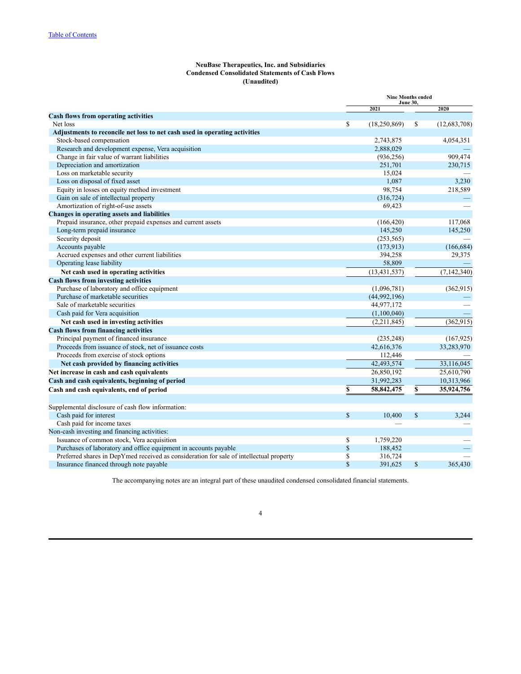# **NeuBase Therapeutics, Inc. and Subsidiaries Condensed Consolidated Statements of Cash Flows (Unaudited)**

|                                                                                         | <b>Nine Months ended</b><br><b>June 30,</b> |                |               |               |
|-----------------------------------------------------------------------------------------|---------------------------------------------|----------------|---------------|---------------|
|                                                                                         |                                             | 2021           |               | 2020          |
| <b>Cash flows from operating activities</b>                                             |                                             |                |               |               |
| Net loss                                                                                | \$                                          | (18,250,869)   | \$            | (12,683,708)  |
| Adjustments to reconcile net loss to net cash used in operating activities              |                                             |                |               |               |
| Stock-based compensation                                                                |                                             | 2,743,875      |               | 4,054,351     |
| Research and development expense, Vera acquisition                                      |                                             | 2,888,029      |               |               |
| Change in fair value of warrant liabilities                                             |                                             | (936, 256)     |               | 909.474       |
| Depreciation and amortization                                                           |                                             | 251,701        |               | 230,715       |
| Loss on marketable security                                                             |                                             | 15,024         |               |               |
| Loss on disposal of fixed asset                                                         |                                             | 1,087          |               | 3,230         |
| Equity in losses on equity method investment                                            |                                             | 98,754         |               | 218,589       |
| Gain on sale of intellectual property                                                   |                                             | (316, 724)     |               |               |
| Amortization of right-of-use assets                                                     |                                             | 69,423         |               |               |
| <b>Changes in operating assets and liabilities</b>                                      |                                             |                |               |               |
| Prepaid insurance, other prepaid expenses and current assets                            |                                             | (166, 420)     |               | 117,068       |
| Long-term prepaid insurance                                                             |                                             | 145,250        |               | 145,250       |
| Security deposit                                                                        |                                             | (253, 565)     |               |               |
| Accounts payable                                                                        |                                             | (173.913)      |               | (166, 684)    |
| Accrued expenses and other current liabilities                                          |                                             | 394,258        |               | 29,375        |
| Operating lease liability                                                               |                                             | 58,809         |               |               |
| Net cash used in operating activities                                                   |                                             | (13, 431, 537) |               | (7, 142, 340) |
| <b>Cash flows from investing activities</b>                                             |                                             |                |               |               |
| Purchase of laboratory and office equipment                                             |                                             | (1,096,781)    |               | (362, 915)    |
| Purchase of marketable securities                                                       |                                             | (44,992,196)   |               |               |
| Sale of marketable securities                                                           |                                             | 44,977,172     |               |               |
| Cash paid for Vera acquisition                                                          |                                             | (1,100,040)    |               |               |
| Net cash used in investing activities                                                   |                                             | (2,211,845)    |               | (362, 915)    |
| <b>Cash flows from financing activities</b>                                             |                                             |                |               |               |
| Principal payment of financed insurance                                                 |                                             | (235, 248)     |               | (167, 925)    |
| Proceeds from issuance of stock, net of issuance costs                                  |                                             | 42,616,376     |               | 33,283,970    |
| Proceeds from exercise of stock options                                                 |                                             | 112,446        |               |               |
| Net cash provided by financing activities                                               |                                             | 42,493,574     |               | 33,116,045    |
| Net increase in cash and cash equivalents                                               |                                             | 26,850,192     |               | 25,610,790    |
| Cash and cash equivalents, beginning of period                                          |                                             | 31,992,283     |               | 10,313,966    |
| Cash and cash equivalents, end of period                                                | \$                                          | 58,842,475     | $\mathbf S$   | 35,924,756    |
|                                                                                         |                                             |                |               |               |
| Supplemental disclosure of cash flow information:                                       |                                             |                |               |               |
| Cash paid for interest                                                                  | <sup>\$</sup>                               | 10,400         | <sup>\$</sup> | 3,244         |
| Cash paid for income taxes                                                              |                                             |                |               |               |
| Non-cash investing and financing activities:                                            |                                             |                |               |               |
| Issuance of common stock, Vera acquisition                                              | \$                                          | 1,759,220      |               |               |
| Purchases of laboratory and office equipment in accounts payable                        | $\mathbb S$                                 | 188,452        |               |               |
| Preferred shares in DepYmed received as consideration for sale of intellectual property | \$                                          | 316,724        |               |               |
| Insurance financed through note payable                                                 | \$                                          | 391,625        | \$            | 365,430       |

The accompanying notes are an integral part of these unaudited condensed consolidated financial statements.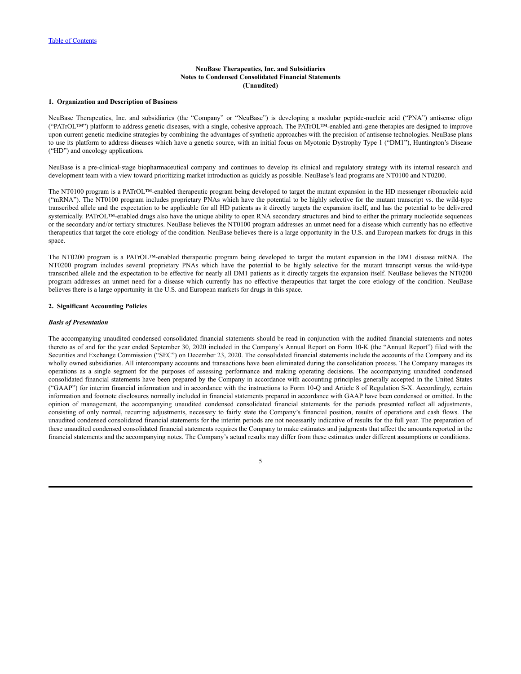## **1. Organization and Description of Business**

NeuBase Therapeutics, Inc. and subsidiaries (the "Company" or "NeuBase") is developing a modular peptide-nucleic acid ("PNA") antisense oligo ("PATrOL™") platform to address genetic diseases, with a single, cohesive approach. The PATrOL™-enabled anti-gene therapies are designed to improve upon current genetic medicine strategies by combining the advantages of synthetic approaches with the precision of antisense technologies. NeuBase plans to use its platform to address diseases which have a genetic source, with an initial focus on Myotonic Dystrophy Type 1 ("DM1"), Huntington's Disease ("HD") and oncology applications.

NeuBase is a pre-clinical-stage biopharmaceutical company and continues to develop its clinical and regulatory strategy with its internal research and development team with a view toward prioritizing market introduction as quickly as possible. NeuBase's lead programs are NT0100 and NT0200.

The NT0100 program is a PATrOL™-enabled therapeutic program being developed to target the mutant expansion in the HD messenger ribonucleic acid ("mRNA"). The NT0100 program includes proprietary PNAs which have the potential to be highly selective for the mutant transcript vs. the wild-type transcribed allele and the expectation to be applicable for all HD patients as it directly targets the expansion itself, and has the potential to be delivered systemically. PATrOL™-enabled drugs also have the unique ability to open RNA secondary structures and bind to either the primary nucleotide sequences or the secondary and/or tertiary structures. NeuBase believes the NT0100 program addresses an unmet need for a disease which currently has no effective therapeutics that target the core etiology of the condition. NeuBase believes there is a large opportunity in the U.S. and European markets for drugs in this space.

The NT0200 program is a PATrOL™-enabled therapeutic program being developed to target the mutant expansion in the DM1 disease mRNA. The NT0200 program includes several proprietary PNAs which have the potential to be highly selective for the mutant transcript versus the wild-type transcribed allele and the expectation to be effective for nearly all DM1 patients as it directly targets the expansion itself. NeuBase believes the NT0200 program addresses an unmet need for a disease which currently has no effective therapeutics that target the core etiology of the condition. NeuBase believes there is a large opportunity in the U.S. and European markets for drugs in this space.

#### **2. Significant Accounting Policies**

#### *Basis of Presentation*

The accompanying unaudited condensed consolidated financial statements should be read in conjunction with the audited financial statements and notes thereto as of and for the year ended September 30, 2020 included in the Company's Annual Report on Form 10-K (the "Annual Report") filed with the Securities and Exchange Commission ("SEC") on December 23, 2020. The consolidated financial statements include the accounts of the Company and its wholly owned subsidiaries. All intercompany accounts and transactions have been eliminated during the consolidation process. The Company manages its operations as a single segment for the purposes of assessing performance and making operating decisions. The accompanying unaudited condensed consolidated financial statements have been prepared by the Company in accordance with accounting principles generally accepted in the United States ("GAAP") for interim financial information and in accordance with the instructions to Form 10-Q and Article 8 of Regulation S-X. Accordingly, certain information and footnote disclosures normally included in financial statements prepared in accordance with GAAP have been condensed or omitted. In the opinion of management, the accompanying unaudited condensed consolidated financial statements for the periods presented reflect all adjustments, consisting of only normal, recurring adjustments, necessary to fairly state the Company's financial position, results of operations and cash flows. The unaudited condensed consolidated financial statements for the interim periods are not necessarily indicative of results for the full year. The preparation of these unaudited condensed consolidated financial statements requires the Company to make estimates and judgments that affect the amounts reported in the financial statements and the accompanying notes. The Company's actual results may differ from these estimates under different assumptions or conditions.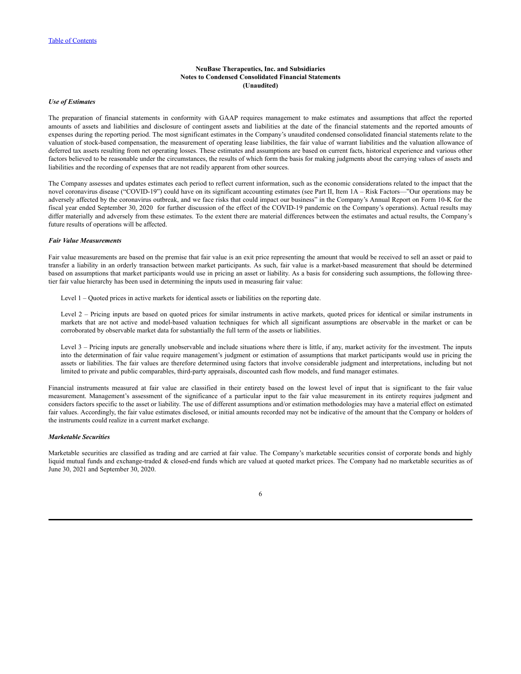### *Use of Estimates*

The preparation of financial statements in conformity with GAAP requires management to make estimates and assumptions that affect the reported amounts of assets and liabilities and disclosure of contingent assets and liabilities at the date of the financial statements and the reported amounts of expenses during the reporting period. The most significant estimates in the Company's unaudited condensed consolidated financial statements relate to the valuation of stock-based compensation, the measurement of operating lease liabilities, the fair value of warrant liabilities and the valuation allowance of deferred tax assets resulting from net operating losses. These estimates and assumptions are based on current facts, historical experience and various other factors believed to be reasonable under the circumstances, the results of which form the basis for making judgments about the carrying values of assets and liabilities and the recording of expenses that are not readily apparent from other sources.

The Company assesses and updates estimates each period to reflect current information, such as the economic considerations related to the impact that the novel coronavirus disease ("COVID-19") could have on its significant accounting estimates (see Part II, Item 1A – Risk Factors—"Our operations may be adversely affected by the coronavirus outbreak, and we face risks that could impact our business" in the Company's Annual Report on Form 10-K for the fiscal year ended September 30, 2020 for further discussion of the effect of the COVID-19 pandemic on the Company's operations). Actual results may differ materially and adversely from these estimates. To the extent there are material differences between the estimates and actual results, the Company's future results of operations will be affected.

### *Fair Value Measurements*

Fair value measurements are based on the premise that fair value is an exit price representing the amount that would be received to sell an asset or paid to transfer a liability in an orderly transaction between market participants. As such, fair value is a market-based measurement that should be determined based on assumptions that market participants would use in pricing an asset or liability. As a basis for considering such assumptions, the following threetier fair value hierarchy has been used in determining the inputs used in measuring fair value:

Level 1 – Quoted prices in active markets for identical assets or liabilities on the reporting date.

Level 2 – Pricing inputs are based on quoted prices for similar instruments in active markets, quoted prices for identical or similar instruments in markets that are not active and model-based valuation techniques for which all significant assumptions are observable in the market or can be corroborated by observable market data for substantially the full term of the assets or liabilities.

Level 3 – Pricing inputs are generally unobservable and include situations where there is little, if any, market activity for the investment. The inputs into the determination of fair value require management's judgment or estimation of assumptions that market participants would use in pricing the assets or liabilities. The fair values are therefore determined using factors that involve considerable judgment and interpretations, including but not limited to private and public comparables, third-party appraisals, discounted cash flow models, and fund manager estimates.

Financial instruments measured at fair value are classified in their entirety based on the lowest level of input that is significant to the fair value measurement. Management's assessment of the significance of a particular input to the fair value measurement in its entirety requires judgment and considers factors specific to the asset or liability. The use of different assumptions and/or estimation methodologies may have a material effect on estimated fair values. Accordingly, the fair value estimates disclosed, or initial amounts recorded may not be indicative of the amount that the Company or holders of the instruments could realize in a current market exchange.

#### *Marketable Securities*

Marketable securities are classified as trading and are carried at fair value. The Company's marketable securities consist of corporate bonds and highly liquid mutual funds and exchange-traded & closed-end funds which are valued at quoted market prices. The Company had no marketable securities as of June 30, 2021 and September 30, 2020.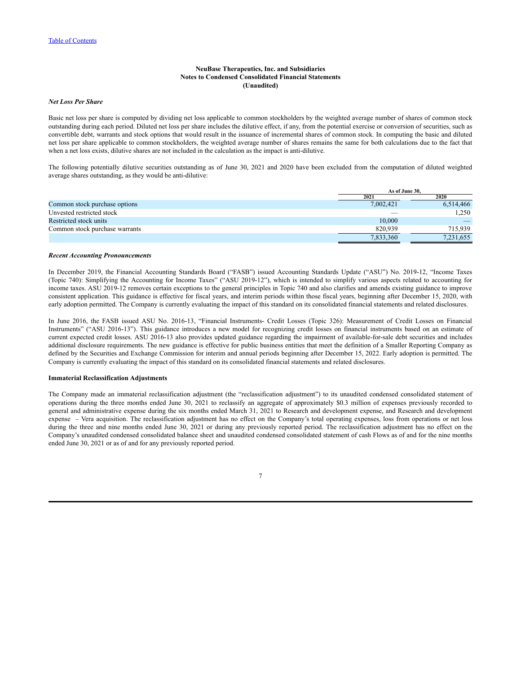## *Net Loss Per Share*

Basic net loss per share is computed by dividing net loss applicable to common stockholders by the weighted average number of shares of common stock outstanding during each period. Diluted net loss per share includes the dilutive effect, if any, from the potential exercise or conversion of securities, such as convertible debt, warrants and stock options that would result in the issuance of incremental shares of common stock. In computing the basic and diluted net loss per share applicable to common stockholders, the weighted average number of shares remains the same for both calculations due to the fact that when a net loss exists, dilutive shares are not included in the calculation as the impact is anti-dilutive.

The following potentially dilutive securities outstanding as of June 30, 2021 and 2020 have been excluded from the computation of diluted weighted average shares outstanding, as they would be anti-dilutive:

|                                | As of June 30. |           |
|--------------------------------|----------------|-----------|
|                                | 2021           | 2020      |
| Common stock purchase options  | 7,002,421      | 6,514,466 |
| Unvested restricted stock      |                | 1.250     |
| Restricted stock units         | 10,000         |           |
| Common stock purchase warrants | 820.939        | 715.939   |
|                                | 7,833,360      | 7,231,655 |

#### *Recent Accounting Pronouncements*

In December 2019, the Financial Accounting Standards Board ("FASB") issued Accounting Standards Update ("ASU") No. 2019-12, "Income Taxes (Topic 740): Simplifying the Accounting for Income Taxes" ("ASU 2019-12"), which is intended to simplify various aspects related to accounting for income taxes. ASU 2019-12 removes certain exceptions to the general principles in Topic 740 and also clarifies and amends existing guidance to improve consistent application. This guidance is effective for fiscal years, and interim periods within those fiscal years, beginning after December 15, 2020, with early adoption permitted. The Company is currently evaluating the impact of this standard on its consolidated financial statements and related disclosures.

In June 2016, the FASB issued ASU No. 2016-13, "Financial Instruments- Credit Losses (Topic 326): Measurement of Credit Losses on Financial Instruments" ("ASU 2016-13"). This guidance introduces a new model for recognizing credit losses on financial instruments based on an estimate of current expected credit losses. ASU 2016-13 also provides updated guidance regarding the impairment of available-for-sale debt securities and includes additional disclosure requirements. The new guidance is effective for public business entities that meet the definition of a Smaller Reporting Company as defined by the Securities and Exchange Commission for interim and annual periods beginning after December 15, 2022. Early adoption is permitted. The Company is currently evaluating the impact of this standard on its consolidated financial statements and related disclosures.

## **Immaterial Reclassification Adjustments**

The Company made an immaterial reclassification adjustment (the "reclassification adjustment") to its unaudited condensed consolidated statement of operations during the three months ended June 30, 2021 to reclassify an aggregate of approximately \$0.3 million of expenses previously recorded to general and administrative expense during the six months ended March 31, 2021 to Research and development expense, and Research and development expense – Vera acquisition. The reclassification adjustment has no effect on the Company's total operating expenses, loss from operations or net loss during the three and nine months ended June 30, 2021 or during any previously reported period. The reclassification adjustment has no effect on the Company's unaudited condensed consolidated balance sheet and unaudited condensed consolidated statement of cash Flows as of and for the nine months ended June 30, 2021 or as of and for any previously reported period.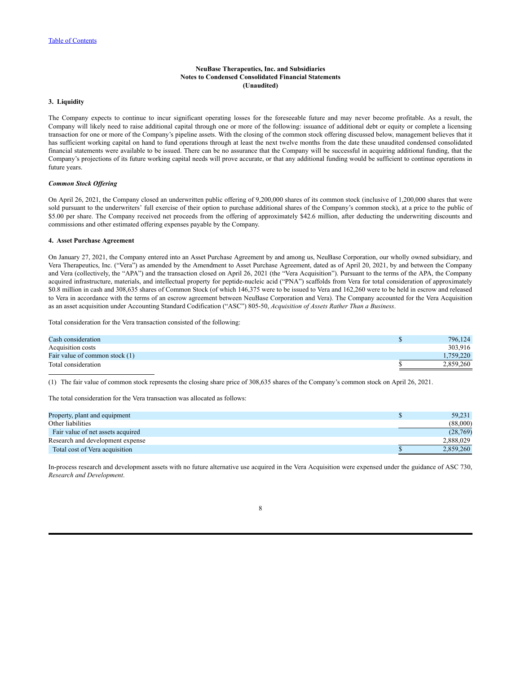# **3. Liquidity**

The Company expects to continue to incur significant operating losses for the foreseeable future and may never become profitable. As a result, the Company will likely need to raise additional capital through one or more of the following: issuance of additional debt or equity or complete a licensing transaction for one or more of the Company's pipeline assets. With the closing of the common stock offering discussed below, management believes that it has sufficient working capital on hand to fund operations through at least the next twelve months from the date these unaudited condensed consolidated financial statements were available to be issued. There can be no assurance that the Company will be successful in acquiring additional funding, that the Company's projections of its future working capital needs will prove accurate, or that any additional funding would be sufficient to continue operations in future years.

#### *Common Stock Of ering*

On April 26, 2021, the Company closed an underwritten public offering of 9,200,000 shares of its common stock (inclusive of 1,200,000 shares that were sold pursuant to the underwriters' full exercise of their option to purchase additional shares of the Company's common stock), at a price to the public of \$5.00 per share. The Company received net proceeds from the offering of approximately \$42.6 million, after deducting the underwriting discounts and commissions and other estimated offering expenses payable by the Company.

#### **4. Asset Purchase Agreement**

On January 27, 2021, the Company entered into an Asset Purchase Agreement by and among us, NeuBase Corporation, our wholly owned subsidiary, and Vera Therapeutics, Inc. ("Vera") as amended by the Amendment to Asset Purchase Agreement, dated as of April 20, 2021, by and between the Company and Vera (collectively, the "APA") and the transaction closed on April 26, 2021 (the "Vera Acquisition"). Pursuant to the terms of the APA, the Company acquired infrastructure, materials, and intellectual property for peptide-nucleic acid ("PNA") scaffolds from Vera for total consideration of approximately \$0.8 million in cash and 308,635 shares of Common Stock (of which 146,375 were to be issued to Vera and 162,260 were to be held in escrow and released to Vera in accordance with the terms of an escrow agreement between NeuBase Corporation and Vera). The Company accounted for the Vera Acquisition as an asset acquisition under Accounting Standard Codification ("ASC") 805-50, *Acquisition of Assets Rather Than a Business*.

Total consideration for the Vera transaction consisted of the following:

| Cash consideration             | 796,124   |
|--------------------------------|-----------|
| Acquisition costs              | 303,916   |
| Fair value of common stock (1) | .759.220  |
| Total consideration            | 2,859,260 |

(1) The fair value of common stock represents the closing share price of 308,635 shares of the Company's common stock on April 26, 2021.

The total consideration for the Vera transaction was allocated as follows:

| Property, plant and equipment     | 59.231    |
|-----------------------------------|-----------|
| Other liabilities                 | (88,000)  |
| Fair value of net assets acquired | (28, 769) |
| Research and development expense  | 2.888.029 |
| Total cost of Vera acquisition    | 2.859.260 |

In-process research and development assets with no future alternative use acquired in the Vera Acquisition were expensed under the guidance of ASC 730, *Research and Development*.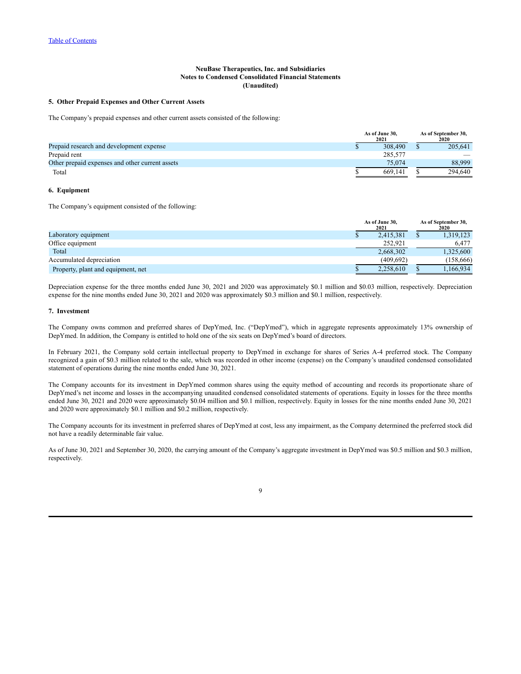#### **5. Other Prepaid Expenses and Other Current Assets**

The Company's prepaid expenses and other current assets consisted of the following:

|                                                 | As of June 30.<br>2021 |         | As of September 30.<br>2020 |
|-------------------------------------------------|------------------------|---------|-----------------------------|
| Prepaid research and development expense        |                        | 308,490 | 205.641                     |
| Prepaid rent                                    |                        | 285.577 |                             |
| Other prepaid expenses and other current assets |                        | 75.074  | 88.999                      |
| Total                                           |                        | 669.141 | 294.640                     |

#### **6. Equipment**

The Company's equipment consisted of the following:

|                                    | As of June 30,<br>2021 | As of September 30.<br>2020 |  |  |
|------------------------------------|------------------------|-----------------------------|--|--|
| Laboratory equipment               | 2.415.381              | 1,319,123                   |  |  |
| Office equipment                   | 252,921                | 6.477                       |  |  |
| Total                              | 2,668,302              | 1,325,600                   |  |  |
| Accumulated depreciation           | (409.692)              | (158,666)                   |  |  |
| Property, plant and equipment, net | 2.258.610              | 166,934                     |  |  |

Depreciation expense for the three months ended June 30, 2021 and 2020 was approximately \$0.1 million and \$0.03 million, respectively. Depreciation expense for the nine months ended June 30, 2021 and 2020 was approximately \$0.3 million and \$0.1 million, respectively.

### **7. Investment**

The Company owns common and preferred shares of DepYmed, Inc. ("DepYmed"), which in aggregate represents approximately 13% ownership of DepYmed. In addition, the Company is entitled to hold one of the six seats on DepYmed's board of directors.

In February 2021, the Company sold certain intellectual property to DepYmed in exchange for shares of Series A-4 preferred stock. The Company recognized a gain of \$0.3 million related to the sale, which was recorded in other income (expense) on the Company's unaudited condensed consolidated statement of operations during the nine months ended June 30, 2021.

The Company accounts for its investment in DepYmed common shares using the equity method of accounting and records its proportionate share of DepYmed's net income and losses in the accompanying unaudited condensed consolidated statements of operations. Equity in losses for the three months ended June 30, 2021 and 2020 were approximately \$0.04 million and \$0.1 million, respectively. Equity in losses for the nine months ended June 30, 2021 and 2020 were approximately \$0.1 million and \$0.2 million, respectively.

The Company accounts for its investment in preferred shares of DepYmed at cost, less any impairment, as the Company determined the preferred stock did not have a readily determinable fair value.

As of June 30, 2021 and September 30, 2020, the carrying amount of the Company's aggregate investment in DepYmed was \$0.5 million and \$0.3 million, respectively.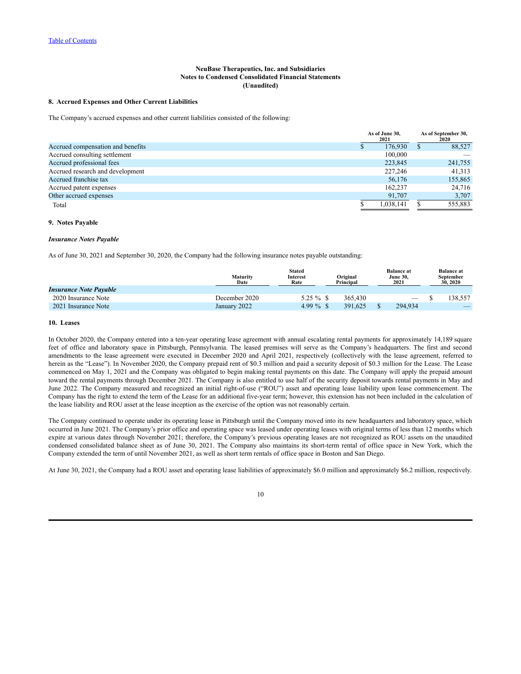### **8. Accrued Expenses and Other Current Liabilities**

The Company's accrued expenses and other current liabilities consisted of the following:

|                                   | As of June 30,<br>2021 |  | As of September 30,<br>2020 |
|-----------------------------------|------------------------|--|-----------------------------|
| Accrued compensation and benefits | 176.930                |  | 88,527                      |
| Accrued consulting settlement     | 100,000                |  |                             |
| Accrued professional fees         | 223.845                |  | 241,755                     |
| Accrued research and development  | 227,246                |  | 41.313                      |
| Accrued franchise tax             | 56,176                 |  | 155,865                     |
| Accrued patent expenses           | 162.237                |  | 24,716                      |
| Other accrued expenses            | 91.707                 |  | 3,707                       |
| Total                             | 1.038.141              |  | 555,883                     |

# **9. Notes Payable**

#### *Insurance Notes Payable*

As of June 30, 2021 and September 30, 2020, the Company had the following insurance notes payable outstanding:

|                               | Maturity<br>Date | <b>Stated</b><br>Interest<br>Rate | Original<br>Principal | <b>Balance</b> at<br><b>June 30.</b><br>2021 | <b>Balance</b> at<br>September<br>30, 2020 |
|-------------------------------|------------------|-----------------------------------|-----------------------|----------------------------------------------|--------------------------------------------|
| <b>Insurance Note Payable</b> |                  |                                   |                       |                                              |                                            |
| 2020 Insurance Note           | December 2020    | $5.25 \%$ \$                      | 365.430               |                                              | 138.557                                    |
| 2021 Insurance Note           | January 2022     | $4.99\%$ \$                       | 391.625               | 294.934                                      |                                            |

## **10. Leases**

In October 2020, the Company entered into a ten-year operating lease agreement with annual escalating rental payments for approximately 14,189 square feet of office and laboratory space in Pittsburgh, Pennsylvania. The leased premises will serve as the Company's headquarters. The first and second amendments to the lease agreement were executed in December 2020 and April 2021, respectively (collectively with the lease agreement, referred to herein as the "Lease"). In November 2020, the Company prepaid rent of \$0.3 million and paid a security deposit of \$0.3 million for the Lease. The Lease commenced on May 1, 2021 and the Company was obligated to begin making rental payments on this date. The Company will apply the prepaid amount toward the rental payments through December 2021. The Company is also entitled to use half of the security deposit towards rental payments in May and June 2022. The Company measured and recognized an initial right-of-use ("ROU") asset and operating lease liability upon lease commencement. The Company has the right to extend the term of the Lease for an additional five-year term; however, this extension has not been included in the calculation of the lease liability and ROU asset at the lease inception as the exercise of the option was not reasonably certain.

The Company continued to operate under its operating lease in Pittsburgh until the Company moved into its new headquarters and laboratory space, which occurred in June 2021. The Company's prior office and operating space was leased under operating leases with original terms of less than 12 months which expire at various dates through November 2021; therefore, the Company's previous operating leases are not recognized as ROU assets on the unaudited condensed consolidated balance sheet as of June 30, 2021. The Company also maintains its short-term rental of office space in New York, which the Company extended the term of until November 2021, as well as short term rentals of office space in Boston and San Diego.

At June 30, 2021, the Company had a ROU asset and operating lease liabilities of approximately \$6.0 million and approximately \$6.2 million, respectively.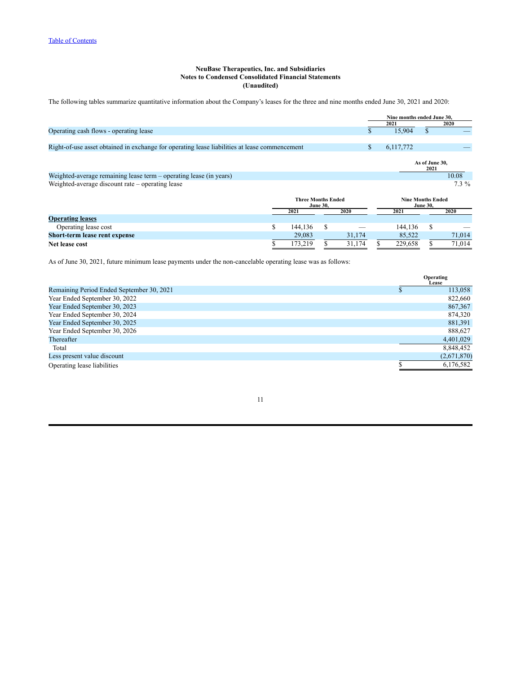The following tables summarize quantitative information about the Company's leases for the three and nine months ended June 30, 2021 and 2020:

|                                                                                               |                           |   | Nine months ended June 30. |                          |         |
|-----------------------------------------------------------------------------------------------|---------------------------|---|----------------------------|--------------------------|---------|
|                                                                                               |                           |   | 2021                       | 2020                     |         |
| Operating cash flows - operating lease                                                        |                           |   | 15.904                     | S                        |         |
|                                                                                               |                           |   |                            |                          |         |
| Right-of-use asset obtained in exchange for operating lease liabilities at lease commencement |                           | S | 6,117,772                  |                          |         |
|                                                                                               |                           |   |                            | As of June 30.<br>2021   |         |
| Weighted-average remaining lease term - operating lease (in years)                            |                           |   |                            |                          | 10.08   |
| Weighted-average discount rate – operating lease                                              |                           |   |                            |                          | $7.3\%$ |
|                                                                                               | <b>Three Months Ended</b> |   |                            | <b>Nine Months Ended</b> |         |

|                               | <b>June 30.</b> |  |        | <b>June 30.</b> |         |  |        |
|-------------------------------|-----------------|--|--------|-----------------|---------|--|--------|
|                               | 2021            |  | 2020   |                 | 2021    |  | 2020   |
| <b>Operating leases</b>       |                 |  |        |                 |         |  |        |
| Operating lease cost          | 144.136         |  |        |                 | 144.136 |  | __     |
| Short-term lease rent expense | 29.083          |  | 31.174 |                 | 85.522  |  | 71.014 |
| Net lease cost                | 173.219         |  | 31,174 |                 | 229.658 |  | 71.014 |

As of June 30, 2021, future minimum lease payments under the non-cancelable operating lease was as follows:

|                                           | Operating<br>Lease |
|-------------------------------------------|--------------------|
| Remaining Period Ended September 30, 2021 | 113,058            |
| Year Ended September 30, 2022             | 822,660            |
| Year Ended September 30, 2023             | 867,367            |
| Year Ended September 30, 2024             | 874,320            |
| Year Ended September 30, 2025             | 881,391            |
| Year Ended September 30, 2026             | 888,627            |
| Thereafter                                | 4,401,029          |
| Total                                     | 8,848,452          |
| Less present value discount               | (2,671,870)        |
| Operating lease liabilities               | 6,176,582          |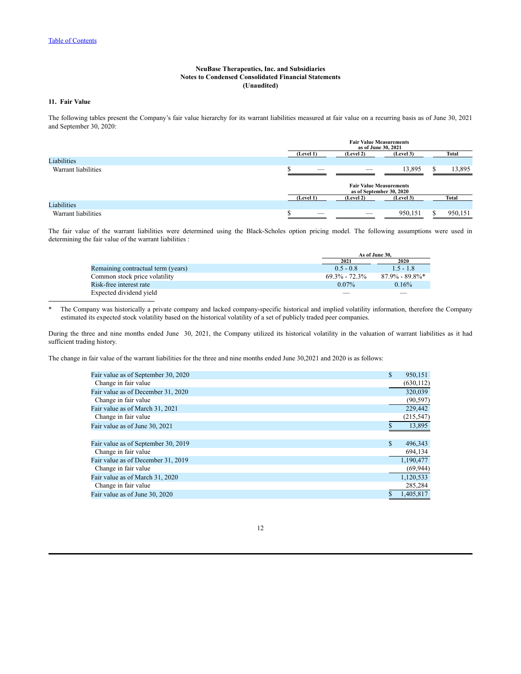# **11. Fair Value**

The following tables present the Company's fair value hierarchy for its warrant liabilities measured at fair value on a recurring basis as of June 30, 2021 and September 30, 2020:

|                     | <b>Fair Value Measurements</b><br>as of June 30, 2021      |           |           |  |         |  |  |
|---------------------|------------------------------------------------------------|-----------|-----------|--|---------|--|--|
|                     | (Level 1)                                                  | (Level 2) | (Level 3) |  | Total   |  |  |
| Liabilities         |                                                            |           |           |  |         |  |  |
| Warrant liabilities | $-$                                                        |           | 13,895    |  | 13,895  |  |  |
|                     | <b>Fair Value Measurements</b><br>as of September 30, 2020 |           |           |  |         |  |  |
|                     | (Level 1)                                                  | (Level 2) | (Level 3) |  | Total   |  |  |
| Liabilities         |                                                            |           |           |  |         |  |  |
| Warrant liabilities |                                                            |           | 950,151   |  | 950,151 |  |  |

The fair value of the warrant liabilities were determined using the Black-Scholes option pricing model. The following assumptions were used in determining the fair value of the warrant liabilities :

|                                    |                   | As of June 30.    |
|------------------------------------|-------------------|-------------------|
|                                    | 2021              | 2020              |
| Remaining contractual term (years) | $0.5 - 0.8$       | $15 - 18$         |
| Common stock price volatility      | $69.3\% - 72.3\%$ | $87.9\% - 89.8\%$ |
| Risk-free interest rate            | $0.07\%$          | 0.16%             |
| Expected dividend yield            |                   |                   |

\* The Company was historically a private company and lacked company-specific historical and implied volatility information, therefore the Company estimated its expected stock volatility based on the historical volatility of a set of publicly traded peer companies.

During the three and nine months ended June 30, 2021, the Company utilized its historical volatility in the valuation of warrant liabilities as it had sufficient trading history.

The change in fair value of the warrant liabilities for the three and nine months ended June 30,2021 and 2020 is as follows:

| Fair value as of September 30, 2020 | \$<br>950,151 |
|-------------------------------------|---------------|
| Change in fair value                | (630, 112)    |
| Fair value as of December 31, 2020  | 320,039       |
| Change in fair value                | (90, 597)     |
| Fair value as of March 31, 2021     | 229,442       |
| Change in fair value                | (215, 547)    |
| Fair value as of June 30, 2021      | 13,895        |
|                                     |               |
| Fair value as of September 30, 2019 | \$<br>496,343 |
| Change in fair value                | 694,134       |
| Fair value as of December 31, 2019  | 1,190,477     |
| Change in fair value                | (69, 944)     |
| Fair value as of March 31, 2020     | 1,120,533     |
| Change in fair value                | 285,284       |
| Fair value as of June 30, 2020      | 1.405.817     |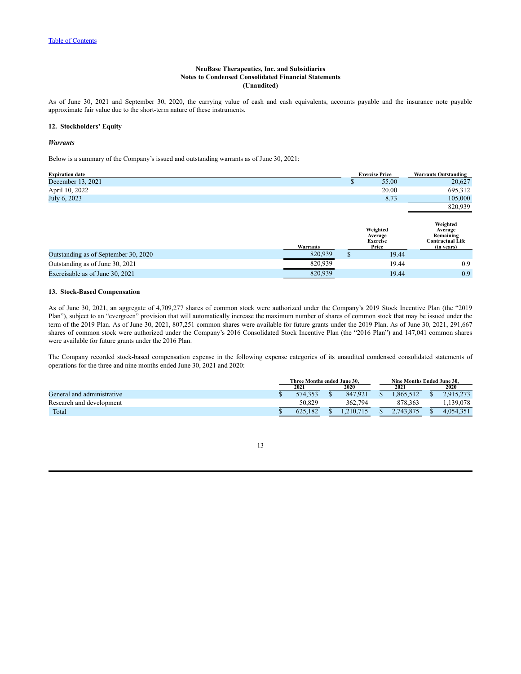As of June 30, 2021 and September 30, 2020, the carrying value of cash and cash equivalents, accounts payable and the insurance note payable approximate fair value due to the short-term nature of these instruments.

# **12. Stockholders' Equity**

### *Warrants*

Below is a summary of the Company's issued and outstanding warrants as of June 30, 2021:

| <b>Expiration date</b>               |          |    | <b>Exercise Price</b>                           | <b>Warrants Outstanding</b>                                               |
|--------------------------------------|----------|----|-------------------------------------------------|---------------------------------------------------------------------------|
| December 13, 2021                    |          | ٠D | 55.00                                           | 20,627                                                                    |
| April 10, 2022                       |          |    | 20.00                                           | 695,312                                                                   |
| July 6, 2023                         |          |    | 8.73                                            | 105,000                                                                   |
|                                      |          |    |                                                 | 820,939                                                                   |
|                                      | Warrants |    | Weighted<br>Average<br><b>Exercise</b><br>Price | Weighted<br>Average<br>Remaining<br><b>Contractual Life</b><br>(in years) |
| Outstanding as of September 30, 2020 | 820,939  |    | 19.44                                           |                                                                           |
| Outstanding as of June 30, 2021      | 820,939  |    | 19.44                                           | 0.9                                                                       |
| Exercisable as of June 30, 2021      | 820,939  |    | 19.44                                           | 0.9                                                                       |

## **13. Stock-Based Compensation**

As of June 30, 2021, an aggregate of 4,709,277 shares of common stock were authorized under the Company's 2019 Stock Incentive Plan (the "2019 Plan"), subject to an "evergreen" provision that will automatically increase the maximum number of shares of common stock that may be issued under the term of the 2019 Plan. As of June 30, 2021, 807,251 common shares were available for future grants under the 2019 Plan. As of June 30, 2021, 291,667 shares of common stock were authorized under the Company's 2016 Consolidated Stock Incentive Plan (the "2016 Plan") and 147,041 common shares were available for future grants under the 2016 Plan.

The Company recorded stock-based compensation expense in the following expense categories of its unaudited condensed consolidated statements of operations for the three and nine months ended June 30, 2021 and 2020:

|                            | Three Months ended June 30. |         |  |          | Nine Months Ended June 30. |  |           |
|----------------------------|-----------------------------|---------|--|----------|----------------------------|--|-----------|
|                            |                             | 2021    |  | 2020     | 2021                       |  | 2020      |
| General and administrative |                             | 574.353 |  | 847.921  | 1.865,514                  |  |           |
| Research and development   |                             | 50.829  |  | 362.794  | 878.363                    |  | 139.078   |
| Total                      |                             | 625.182 |  | .210.715 | 2.743.875                  |  | 4,054,351 |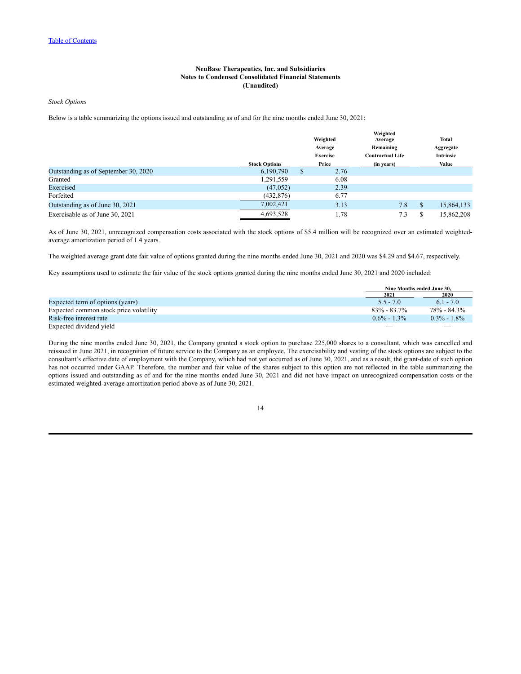*Stock Options*

Below is a table summarizing the options issued and outstanding as of and for the nine months ended June 30, 2021:

|                                      |                      |                            | Weighted | Weighted<br>Average                  | <b>Total</b>                  |
|--------------------------------------|----------------------|----------------------------|----------|--------------------------------------|-------------------------------|
|                                      |                      | Average<br><b>Exercise</b> |          | Remaining<br><b>Contractual Life</b> | Aggregate<br><b>Intrinsic</b> |
|                                      | <b>Stock Options</b> |                            | Price    | (in years)                           | Value                         |
| Outstanding as of September 30, 2020 | 6,190,790            | \$                         | 2.76     |                                      |                               |
| Granted                              | 1,291,559            |                            | 6.08     |                                      |                               |
| Exercised                            | (47, 052)            |                            | 2.39     |                                      |                               |
| Forfeited                            | (432, 876)           |                            | 6.77     |                                      |                               |
| Outstanding as of June 30, 2021      | 7.002.421            |                            | 3.13     | 7.8                                  | \$<br>15,864,133              |
| Exercisable as of June 30, 2021      | 4,693,528            |                            | 1.78     | 7.3                                  | 15,862,208                    |

As of June 30, 2021, unrecognized compensation costs associated with the stock options of \$5.4 million will be recognized over an estimated weightedaverage amortization period of 1.4 years.

The weighted average grant date fair value of options granted during the nine months ended June 30, 2021 and 2020 was \$4.29 and \$4.67, respectively.

Key assumptions used to estimate the fair value of the stock options granted during the nine months ended June 30, 2021 and 2020 included:

|                                        | Nine Months ended June 30. |                 |
|----------------------------------------|----------------------------|-----------------|
|                                        | 2021                       | 2020            |
| Expected term of options (years)       | $5.5 - 7.0$                | $6.1 - 7.0$     |
| Expected common stock price volatility | $83\% - 83.7\%$            | 78% - 84.3%     |
| Risk-free interest rate                | $0.6\% - 1.3\%$            | $0.3\% - 1.8\%$ |
| Expected dividend vield                |                            |                 |

During the nine months ended June 30, 2021, the Company granted a stock option to purchase 225,000 shares to a consultant, which was cancelled and reissued in June 2021, in recognition of future service to the Company as an employee. The exercisability and vesting of the stock options are subject to the consultant's effective date of employment with the Company, which had not yet occurred as of June 30, 2021, and as a result, the grant-date of such option has not occurred under GAAP. Therefore, the number and fair value of the shares subject to this option are not reflected in the table summarizing the options issued and outstanding as of and for the nine months ended June 30, 2021 and did not have impact on unrecognized compensation costs or the estimated weighted-average amortization period above as of June 30, 2021.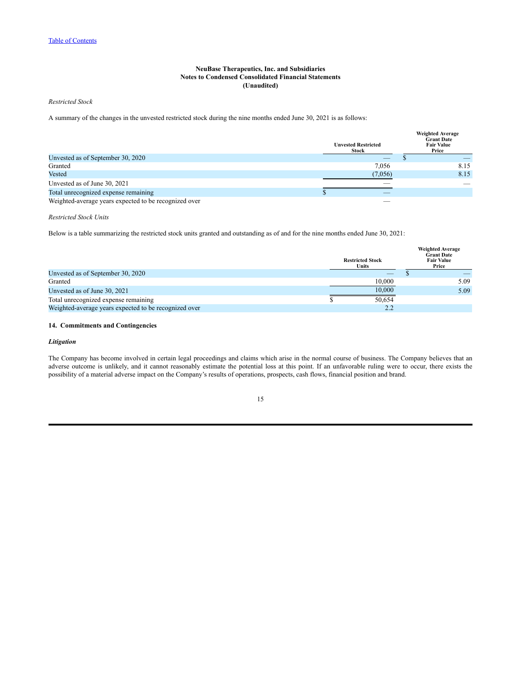*Restricted Stock*

A summary of the changes in the unvested restricted stock during the nine months ended June 30, 2021 is as follows:

|                                                       | <b>Unvested Restricted</b><br><b>Stock</b> | <b>Weighted Average</b><br><b>Grant Date</b><br><b>Fair Value</b><br>Price |
|-------------------------------------------------------|--------------------------------------------|----------------------------------------------------------------------------|
| Unvested as of September 30, 2020                     |                                            |                                                                            |
| Granted                                               | 7.056                                      | 8.15                                                                       |
| Vested                                                | (7,056)                                    | 8.15                                                                       |
| Unvested as of June 30, 2021                          |                                            |                                                                            |
| Total unrecognized expense remaining                  |                                            |                                                                            |
| Weighted-average years expected to be recognized over |                                            |                                                                            |

*Restricted Stock Units*

Below is a table summarizing the restricted stock units granted and outstanding as of and for the nine months ended June 30, 2021:

|                                                       | <b>Restricted Stock</b><br>Units | <b>Weighted Average</b><br><b>Grant Date</b><br><b>Fair Value</b><br>Price |
|-------------------------------------------------------|----------------------------------|----------------------------------------------------------------------------|
| Unvested as of September 30, 2020                     |                                  |                                                                            |
| Granted                                               | 10.000                           | 5.09                                                                       |
| Unvested as of June 30, 2021                          | 10.000                           | 5.09                                                                       |
| Total unrecognized expense remaining                  | 50.654                           |                                                                            |
| Weighted-average years expected to be recognized over | 2.2                              |                                                                            |

## **14. Commitments and Contingencies**

# *Litigation*

The Company has become involved in certain legal proceedings and claims which arise in the normal course of business. The Company believes that an adverse outcome is unlikely, and it cannot reasonably estimate the potential loss at this point. If an unfavorable ruling were to occur, there exists the possibility of a material adverse impact on the Company's results of operations, prospects, cash flows, financial position and brand.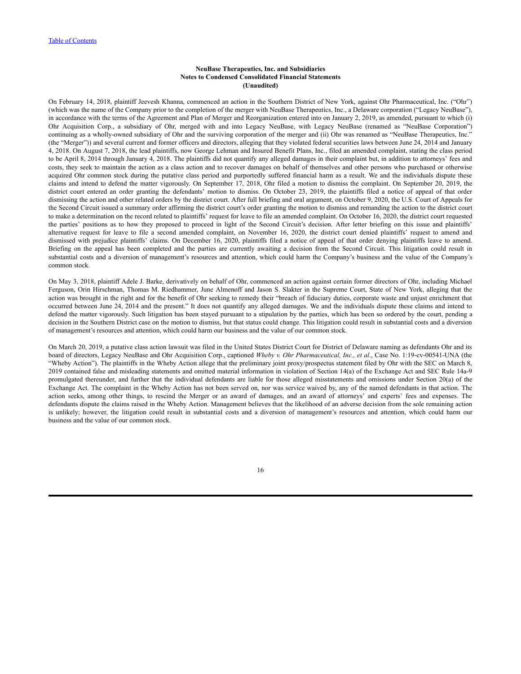On February 14, 2018, plaintiff Jeevesh Khanna, commenced an action in the Southern District of New York, against Ohr Pharmaceutical, Inc. ("Ohr") (which was the name of the Company prior to the completion of the merger with NeuBase Therapeutics, Inc., a Delaware corporation ("Legacy NeuBase"), in accordance with the terms of the Agreement and Plan of Merger and Reorganization entered into on January 2, 2019, as amended, pursuant to which (i) Ohr Acquisition Corp., a subsidiary of Ohr, merged with and into Legacy NeuBase, with Legacy NeuBase (renamed as "NeuBase Corporation") continuing as a wholly-owned subsidiary of Ohr and the surviving corporation of the merger and (ii) Ohr was renamed as "NeuBase Therapeutics, Inc." (the "Merger")) and several current and former officers and directors, alleging that they violated federal securities laws between June 24, 2014 and January 4, 2018. On August 7, 2018, the lead plaintiffs, now George Lehman and Insured Benefit Plans, Inc., filed an amended complaint, stating the class period to be April 8, 2014 through January 4, 2018. The plaintiffs did not quantify any alleged damages in their complaint but, in addition to attorneys' fees and costs, they seek to maintain the action as a class action and to recover damages on behalf of themselves and other persons who purchased or otherwise acquired Ohr common stock during the putative class period and purportedly suffered financial harm as a result. We and the individuals dispute these claims and intend to defend the matter vigorously. On September 17, 2018, Ohr filed a motion to dismiss the complaint. On September 20, 2019, the district court entered an order granting the defendants' motion to dismiss. On October 23, 2019, the plaintiffs filed a notice of appeal of that order dismissing the action and other related orders by the district court. After full briefing and oral argument, on October 9, 2020, the U.S. Court of Appeals for the Second Circuit issued a summary order affirming the district court's order granting the motion to dismiss and remanding the action to the district court to make a determination on the record related to plaintiffs' request for leave to file an amended complaint. On October 16, 2020, the district court requested the parties' positions as to how they proposed to proceed in light of the Second Circuit's decision. After letter briefing on this issue and plaintiffs' alternative request for leave to file a second amended complaint, on November 16, 2020, the district court denied plaintiffs' request to amend and dismissed with prejudice plaintiffs' claims. On December 16, 2020, plaintiffs filed a notice of appeal of that order denying plaintiffs leave to amend. Briefing on the appeal has been completed and the parties are currently awaiting a decision from the Second Circuit. This litigation could result in substantial costs and a diversion of management's resources and attention, which could harm the Company's business and the value of the Company's common stock.

On May 3, 2018, plaintiff Adele J. Barke, derivatively on behalf of Ohr, commenced an action against certain former directors of Ohr, including Michael Ferguson, Orin Hirschman, Thomas M. Riedhammer, June Almenoff and Jason S. Slakter in the Supreme Court, State of New York, alleging that the action was brought in the right and for the benefit of Ohr seeking to remedy their "breach of fiduciary duties, corporate waste and unjust enrichment that occurred between June 24, 2014 and the present." It does not quantify any alleged damages. We and the individuals dispute these claims and intend to defend the matter vigorously. Such litigation has been stayed pursuant to a stipulation by the parties, which has been so ordered by the court, pending a decision in the Southern District case on the motion to dismiss, but that status could change. This litigation could result in substantial costs and a diversion of management's resources and attention, which could harm our business and the value of our common stock.

On March 20, 2019, a putative class action lawsuit was filed in the United States District Court for District of Delaware naming as defendants Ohr and its board of directors, Legacy NeuBase and Ohr Acquisition Corp., captioned *Wheby v. Ohr Pharmaceutical, Inc., et al*., Case No. 1:19-cv-00541-UNA (the "Wheby Action"). The plaintiffs in the Wheby Action allege that the preliminary joint proxy/prospectus statement filed by Ohr with the SEC on March 8, 2019 contained false and misleading statements and omitted material information in violation of Section 14(a) of the Exchange Act and SEC Rule 14a-9 promulgated thereunder, and further that the individual defendants are liable for those alleged misstatements and omissions under Section 20(a) of the Exchange Act. The complaint in the Wheby Action has not been served on, nor was service waived by, any of the named defendants in that action. The action seeks, among other things, to rescind the Merger or an award of damages, and an award of attorneys' and experts' fees and expenses. The defendants dispute the claims raised in the Wheby Action. Management believes that the likelihood of an adverse decision from the sole remaining action is unlikely; however, the litigation could result in substantial costs and a diversion of management's resources and attention, which could harm our business and the value of our common stock.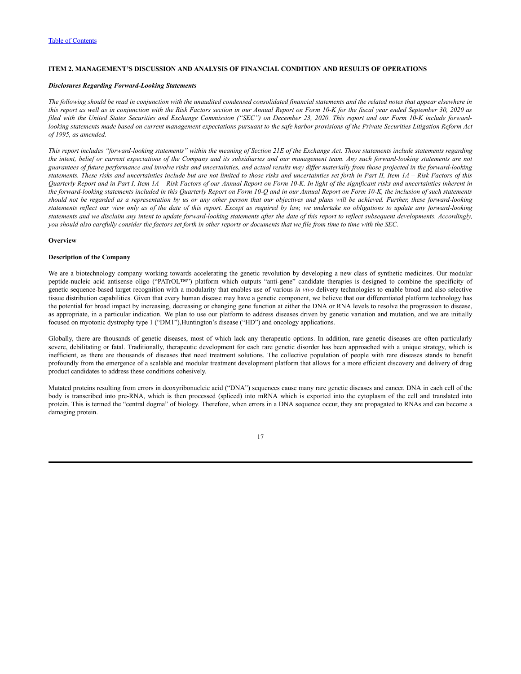# <span id="page-18-0"></span>**ITEM 2. MANAGEMENT'S DISCUSSION AND ANALYSIS OF FINANCIAL CONDITION AND RESULTS OF OPERATIONS**

#### *Disclosures Regarding Forward-Looking Statements*

The following should be read in conjunction with the unaudited condensed consolidated financial statements and the related notes that appear elsewhere in this report as well as in conjunction with the Risk Factors section in our Annual Report on Form 10-K for the fiscal year ended September 30, 2020 as filed with the United States Securities and Exchange Commission ("SEC") on December 23, 2020. This report and our Form 10-K include forwardlooking statements made based on current management expectations pursuant to the safe harbor provisions of the Private Securities Litigation Reform Act *of 1995, as amended.*

This report includes "forward-looking statements" within the meaning of Section 21E of the Exchange Act. Those statements include statements regarding the intent, belief or current expectations of the Company and its subsidiaries and our management team. Any such forward-looking statements are not guarantees of future performance and involve risks and uncertainties, and actual results may differ materially from those projected in the forward-looking statements. These risks and uncertainties include but are not limited to those risks and uncertainties set forth in Part II, Item 1A - Risk Factors of this Quarterly Report and in Part I, Item 1A - Risk Factors of our Annual Report on Form 10-K. In light of the significant risks and uncertainties inherent in the forward-looking statements included in this Quarterly Report on Form 10-Q and in our Annual Report on Form 10-K, the inclusion of such statements should not be regarded as a representation by us or any other person that our objectives and plans will be achieved. Further, these forward-looking statements reflect our view only as of the date of this report. Except as required by law, we undertake no obligations to update any forward-looking statements and we disclaim any intent to update forward-looking statements after the date of this report to reflect subsequent developments. Accordingly, you should also carefully consider the factors set forth in other reports or documents that we file from time to time with the SEC.

#### **Overview**

# **Description of the Company**

We are a biotechnology company working towards accelerating the genetic revolution by developing a new class of synthetic medicines. Our modular peptide-nucleic acid antisense oligo ("PATrOL™") platform which outputs "anti-gene" candidate therapies is designed to combine the specificity of genetic sequence-based target recognition with a modularity that enables use of various *in vivo* delivery technologies to enable broad and also selective tissue distribution capabilities. Given that every human disease may have a genetic component, we believe that our differentiated platform technology has the potential for broad impact by increasing, decreasing or changing gene function at either the DNA or RNA levels to resolve the progression to disease, as appropriate, in a particular indication. We plan to use our platform to address diseases driven by genetic variation and mutation, and we are initially focused on myotonic dystrophy type 1 ("DM1"),Huntington's disease ("HD") and oncology applications.

Globally, there are thousands of genetic diseases, most of which lack any therapeutic options. In addition, rare genetic diseases are often particularly severe, debilitating or fatal. Traditionally, therapeutic development for each rare genetic disorder has been approached with a unique strategy, which is inefficient, as there are thousands of diseases that need treatment solutions. The collective population of people with rare diseases stands to benefit profoundly from the emergence of a scalable and modular treatment development platform that allows for a more efficient discovery and delivery of drug product candidates to address these conditions cohesively.

Mutated proteins resulting from errors in deoxyribonucleic acid ("DNA") sequences cause many rare genetic diseases and cancer. DNA in each cell of the body is transcribed into pre-RNA, which is then processed (spliced) into mRNA which is exported into the cytoplasm of the cell and translated into protein. This is termed the "central dogma" of biology. Therefore, when errors in a DNA sequence occur, they are propagated to RNAs and can become a damaging protein.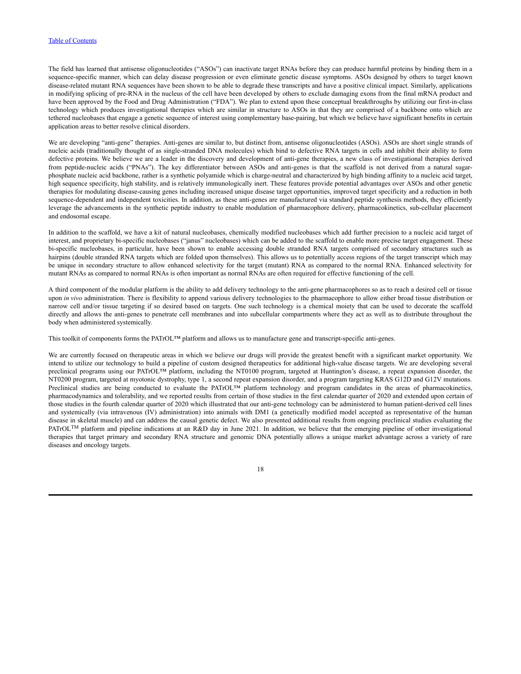## Table of [Contents](#page-1-0)

The field has learned that antisense oligonucleotides ("ASOs") can inactivate target RNAs before they can produce harmful proteins by binding them in a sequence-specific manner, which can delay disease progression or even eliminate genetic disease symptoms. ASOs designed by others to target known disease-related mutant RNA sequences have been shown to be able to degrade these transcripts and have a positive clinical impact. Similarly, applications in modifying splicing of pre-RNA in the nucleus of the cell have been developed by others to exclude damaging exons from the final mRNA product and have been approved by the Food and Drug Administration ("FDA"). We plan to extend upon these conceptual breakthroughs by utilizing our first-in-class technology which produces investigational therapies which are similar in structure to ASOs in that they are comprised of a backbone onto which are tethered nucleobases that engage a genetic sequence of interest using complementary base-pairing, but which we believe have significant benefits in certain application areas to better resolve clinical disorders.

We are developing "anti-gene" therapies. Anti-genes are similar to, but distinct from, antisense oligonucleotides (ASOs). ASOs are short single strands of nucleic acids (traditionally thought of as single-stranded DNA molecules) which bind to defective RNA targets in cells and inhibit their ability to form defective proteins. We believe we are a leader in the discovery and development of anti-gene therapies, a new class of investigational therapies derived from peptide-nucleic acids ("PNAs"). The key differentiator between ASOs and anti-genes is that the scaffold is not derived from a natural sugarphosphate nucleic acid backbone, rather is a synthetic polyamide which is charge-neutral and characterized by high binding affinity to a nucleic acid target, high sequence specificity, high stability, and is relatively immunologically inert. These features provide potential advantages over ASOs and other genetic therapies for modulating disease-causing genes including increased unique disease target opportunities, improved target specificity and a reduction in both sequence-dependent and independent toxicities. In addition, as these anti-genes are manufactured via standard peptide synthesis methods, they efficiently leverage the advancements in the synthetic peptide industry to enable modulation of pharmacophore delivery, pharmacokinetics, sub-cellular placement and endosomal escape.

In addition to the scaffold, we have a kit of natural nucleobases, chemically modified nucleobases which add further precision to a nucleic acid target of interest, and proprietary bi-specific nucleobases ("janus" nucleobases) which can be added to the scaffold to enable more precise target engagement. These bi-specific nucleobases, in particular, have been shown to enable accessing double stranded RNA targets comprised of secondary structures such as hairpins (double stranded RNA targets which are folded upon themselves). This allows us to potentially access regions of the target transcript which may be unique in secondary structure to allow enhanced selectivity for the target (mutant) RNA as compared to the normal RNA. Enhanced selectivity for mutant RNAs as compared to normal RNAs is often important as normal RNAs are often required for effective functioning of the cell.

A third component of the modular platform is the ability to add delivery technology to the anti-gene pharmacophores so as to reach a desired cell or tissue upon *in vivo* administration. There is flexibility to append various delivery technologies to the pharmacophore to allow either broad tissue distribution or narrow cell and/or tissue targeting if so desired based on targets. One such technology is a chemical moiety that can be used to decorate the scaffold directly and allows the anti-genes to penetrate cell membranes and into subcellular compartments where they act as well as to distribute throughout the body when administered systemically.

This toolkit of components forms the PATrOL™ platform and allows us to manufacture gene and transcript-specific anti-genes.

We are currently focused on therapeutic areas in which we believe our drugs will provide the greatest benefit with a significant market opportunity. We intend to utilize our technology to build a pipeline of custom designed therapeutics for additional high-value disease targets. We are developing several preclinical programs using our PATrOL<sup>TM</sup> platform, including the NT0100 program, targeted at Huntington's disease, a repeat expansion disorder, the NT0200 program, targeted at myotonic dystrophy, type 1, a second repeat expansion disorder, and a program targeting KRAS G12D and G12V mutations. Preclinical studies are being conducted to evaluate the PATrOL™ platform technology and program candidates in the areas of pharmacokinetics, pharmacodynamics and tolerability, and we reported results from certain of those studies in the first calendar quarter of 2020 and extended upon certain of those studies in the fourth calendar quarter of 2020 which illustrated that our anti-gene technology can be administered to human patient-derived cell lines and systemically (via intravenous (IV) administration) into animals with DM1 (a genetically modified model accepted as representative of the human disease in skeletal muscle) and can address the causal genetic defect. We also presented additional results from ongoing preclinical studies evaluating the PATrOL<sup>TM</sup> platform and pipeline indications at an R&D day in June 2021. In addition, we believe that the emerging pipeline of other investigational therapies that target primary and secondary RNA structure and genomic DNA potentially allows a unique market advantage across a variety of rare diseases and oncology targets.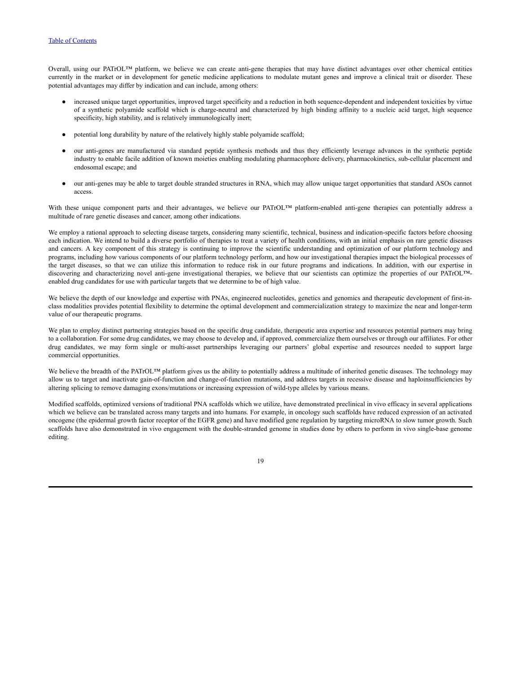### Table of [Contents](#page-1-0)

Overall, using our PATrOL™ platform, we believe we can create anti-gene therapies that may have distinct advantages over other chemical entities currently in the market or in development for genetic medicine applications to modulate mutant genes and improve a clinical trait or disorder. These potential advantages may differ by indication and can include, among others:

- increased unique target opportunities, improved target specificity and a reduction in both sequence-dependent and independent toxicities by virtue of a synthetic polyamide scaffold which is charge-neutral and characterized by high binding affinity to a nucleic acid target, high sequence specificity, high stability, and is relatively immunologically inert;
- potential long durability by nature of the relatively highly stable polyamide scaffold;
- our anti-genes are manufactured via standard peptide synthesis methods and thus they efficiently leverage advances in the synthetic peptide industry to enable facile addition of known moieties enabling modulating pharmacophore delivery, pharmacokinetics, sub-cellular placement and endosomal escape; and
- our anti-genes may be able to target double stranded structures in RNA, which may allow unique target opportunities that standard ASOs cannot access.

With these unique component parts and their advantages, we believe our PATrOL™ platform-enabled anti-gene therapies can potentially address a multitude of rare genetic diseases and cancer, among other indications.

We employ a rational approach to selecting disease targets, considering many scientific, technical, business and indication-specific factors before choosing each indication. We intend to build a diverse portfolio of therapies to treat a variety of health conditions, with an initial emphasis on rare genetic diseases and cancers. A key component of this strategy is continuing to improve the scientific understanding and optimization of our platform technology and programs, including how various components of our platform technology perform, and how our investigational therapies impact the biological processes of the target diseases, so that we can utilize this information to reduce risk in our future programs and indications. In addition, with our expertise in discovering and characterizing novel anti-gene investigational therapies, we believe that our scientists can optimize the properties of our PATrOL™enabled drug candidates for use with particular targets that we determine to be of high value.

We believe the depth of our knowledge and expertise with PNAs, engineered nucleotides, genetics and genomics and therapeutic development of first-inclass modalities provides potential flexibility to determine the optimal development and commercialization strategy to maximize the near and longer-term value of our therapeutic programs.

We plan to employ distinct partnering strategies based on the specific drug candidate, therapeutic area expertise and resources potential partners may bring to a collaboration. For some drug candidates, we may choose to develop and, if approved, commercialize them ourselves or through our affiliates. For other drug candidates, we may form single or multi-asset partnerships leveraging our partners' global expertise and resources needed to support large commercial opportunities.

We believe the breadth of the PATrOL™ platform gives us the ability to potentially address a multitude of inherited genetic diseases. The technology may allow us to target and inactivate gain-of-function and change-of-function mutations, and address targets in recessive disease and haploinsufficiencies by altering splicing to remove damaging exons/mutations or increasing expression of wild-type alleles by various means.

Modified scaffolds, optimized versions of traditional PNA scaffolds which we utilize, have demonstrated preclinical in vivo efficacy in several applications which we believe can be translated across many targets and into humans. For example, in oncology such scaffolds have reduced expression of an activated oncogene (the epidermal growth factor receptor of the EGFR gene) and have modified gene regulation by targeting microRNA to slow tumor growth. Such scaffolds have also demonstrated in vivo engagement with the double-stranded genome in studies done by others to perform in vivo single-base genome editing.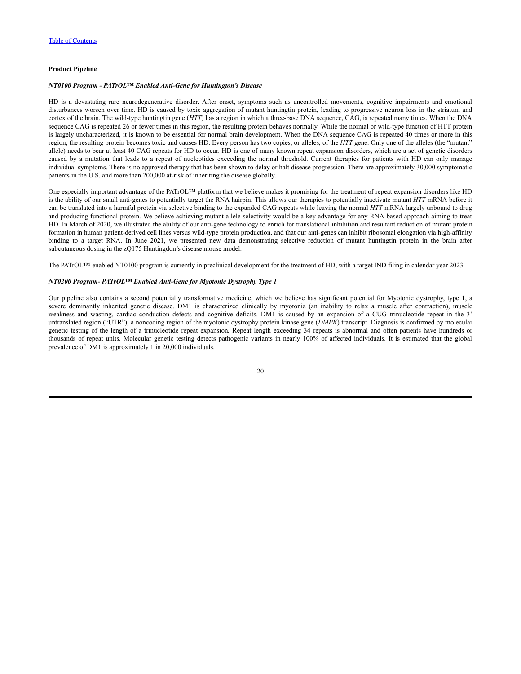## **Product Pipeline**

#### *NT0100 Program - PATrOL™ Enabled Anti-Gene for Huntington's Disease*

HD is a devastating rare neurodegenerative disorder. After onset, symptoms such as uncontrolled movements, cognitive impairments and emotional disturbances worsen over time. HD is caused by toxic aggregation of mutant huntingtin protein, leading to progressive neuron loss in the striatum and cortex of the brain. The wild-type huntingtin gene (*HTT*) has a region in which a three-base DNA sequence, CAG, is repeated many times. When the DNA sequence CAG is repeated 26 or fewer times in this region, the resulting protein behaves normally. While the normal or wild-type function of HTT protein is largely uncharacterized, it is known to be essential for normal brain development. When the DNA sequence CAG is repeated 40 times or more in this region, the resulting protein becomes toxic and causes HD. Every person has two copies, or alleles, of the *HTT* gene. Only one of the alleles (the "mutant" allele) needs to bear at least 40 CAG repeats for HD to occur. HD is one of many known repeat expansion disorders, which are a set of genetic disorders caused by a mutation that leads to a repeat of nucleotides exceeding the normal threshold. Current therapies for patients with HD can only manage individual symptoms. There is no approved therapy that has been shown to delay or halt disease progression. There are approximately 30,000 symptomatic patients in the U.S. and more than 200,000 at-risk of inheriting the disease globally.

One especially important advantage of the PATrOL™ platform that we believe makes it promising for the treatment of repeat expansion disorders like HD is the ability of our small anti-genes to potentially target the RNA hairpin. This allows our therapies to potentially inactivate mutant *HTT* mRNA before it can be translated into a harmful protein via selective binding to the expanded CAG repeats while leaving the normal *HTT* mRNA largely unbound to drug and producing functional protein. We believe achieving mutant allele selectivity would be a key advantage for any RNA-based approach aiming to treat HD. In March of 2020, we illustrated the ability of our anti-gene technology to enrich for translational inhibition and resultant reduction of mutant protein formation in human patient-derived cell lines versus wild-type protein production, and that our anti-genes can inhibit ribosomal elongation via high-affinity binding to a target RNA. In June 2021, we presented new data demonstrating selective reduction of mutant huntingtin protein in the brain after subcutaneous dosing in the zQ175 Huntingdon's disease mouse model.

The PATrOL™-enabled NT0100 program is currently in preclinical development for the treatment of HD, with a target IND filing in calendar year 2023.

## *NT0200 Program- PATrOL™ Enabled Anti-Gene for Myotonic Dystrophy Type 1*

Our pipeline also contains a second potentially transformative medicine, which we believe has significant potential for Myotonic dystrophy, type 1, a severe dominantly inherited genetic disease. DM1 is characterized clinically by myotonia (an inability to relax a muscle after contraction), muscle weakness and wasting, cardiac conduction defects and cognitive deficits. DM1 is caused by an expansion of a CUG trinucleotide repeat in the 3' untranslated region ("UTR"), a noncoding region of the myotonic dystrophy protein kinase gene (*DMPK*) transcript. Diagnosis is confirmed by molecular genetic testing of the length of a trinucleotide repeat expansion*.* Repeat length exceeding 34 repeats is abnormal and often patients have hundreds or thousands of repeat units. Molecular genetic testing detects pathogenic variants in nearly 100% of affected individuals. It is estimated that the global prevalence of DM1 is approximately 1 in 20,000 individuals.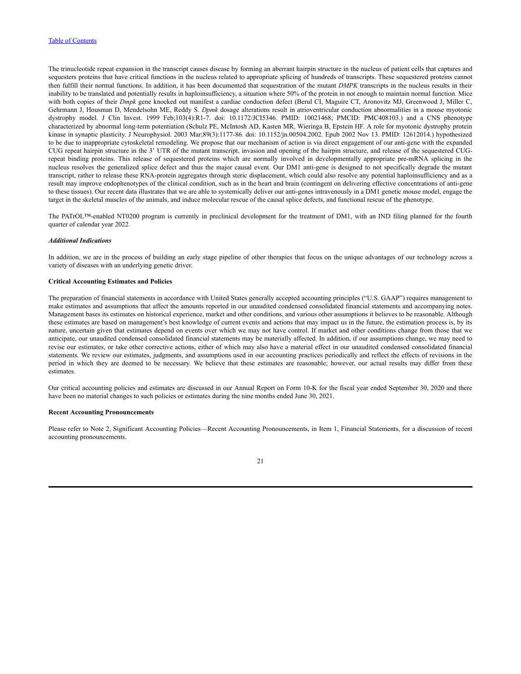The trinucleotide repeat expansion in the transcript causes disease by forming an aberrant hairpin structure in the nucleus of patient cells that captures and sequesters proteins that have critical functions in the nucleus related to appropriate splicing of hundreds of transcripts. These sequestered proteins cannot then fulfill their normal functions. In addition, it has been documented that sequestration of the mutant *DMPK* transcripts in the nucleus results in their inability to be translated and potentially results in haploinsufficiency, a situation where 50% of the protein in not enough to maintain normal function. Mice with both copies of their *Dmpk* gene knocked out manifest a cardiac conduction defect (Berul CI, Maguire CT, Aronovitz MJ, Greenwood J, Miller C, Gehrmann J, Housman D, Mendelsohn ME, Reddy S. *Dpmk* dosage alterations result in atrioventricular conduction abnormalities in a mouse myotonic dystrophy model. J Clin Invest. 1999 Feb;103(4):R1-7. doi: 10.1172/JCI5346. PMID: 10021468; PMCID: PMC408103.) and a CNS phenotype characterized by abnormal long-term potentiation (Schulz PE, McIntosh AD, Kasten MR, Wieringa B, Epstein HF. A role for myotonic dystrophy protein kinase in synaptic plasticity. J Neurophysiol. 2003 Mar;89(3):1177-86. doi: 10.1152/jn.00504.2002. Epub 2002 Nov 13. PMID: 12612014.) hypothesized to be due to inappropriate cytoskeletal remodeling. We propose that our mechanism of action is via direct engagement of our anti-gene with the expanded CUG repeat hairpin structure in the 3' UTR of the mutant transcript, invasion and opening of the hairpin structure, and release of the sequestered CUGrepeat binding proteins. This release of sequestered proteins which are normally involved in developmentally appropriate pre-mRNA splicing in the nucleus resolves the generalized splice defect and thus the major causal event. Our DM1 anti-gene is designed to not specifically degrade the mutant transcript, rather to release these RNA-protein aggregates through steric displacement, which could also resolve any potential haploinsufficiency and as a result may improve endophenotypes of the clinical condition, such as in the heart and brain (contingent on delivering effective concentrations of anti-gene to these tissues). Our recent data illustrates that we are able to systemically deliver our anti-genes intravenously in a DM1 genetic mouse model, engage the target in the skeletal muscles of the animals, and induce molecular rescue of the causal splice defects, and functional rescue of the phenotype.

The PATrOL™-enabled NT0200 program is currently in preclinical development for the treatment of DM1, with an IND filing planned for the fourth quarter of calendar year 2022.

### *Additional Indications*

In addition, we are in the process of building an early stage pipeline of other therapies that focus on the unique advantages of our technology across a variety of diseases with an underlying genetic driver.

#### **Critical Accounting Estimates and Policies**

The preparation of financial statements in accordance with United States generally accepted accounting principles ("U.S. GAAP") requires management to make estimates and assumptions that affect the amounts reported in our unaudited condensed consolidated financial statements and accompanying notes. Management bases its estimates on historical experience, market and other conditions, and various other assumptions it believes to be reasonable. Although these estimates are based on management's best knowledge of current events and actions that may impact us in the future, the estimation process is, by its nature, uncertain given that estimates depend on events over which we may not have control. If market and other conditions change from those that we anticipate, our unaudited condensed consolidated financial statements may be materially affected. In addition, if our assumptions change, we may need to revise our estimates, or take other corrective actions, either of which may also have a material effect in our unaudited condensed consolidated financial statements. We review our estimates, judgments, and assumptions used in our accounting practices periodically and reflect the effects of revisions in the period in which they are deemed to be necessary. We believe that these estimates are reasonable; however, our actual results may differ from these estimates.

Our critical accounting policies and estimates are discussed in our Annual Report on Form 10-K for the fiscal year ended September 30, 2020 and there have been no material changes to such policies or estimates during the nine months ended June 30, 2021.

#### **Recent Accounting Pronouncements**

Please refer to Note 2, Significant Accounting Policies—Recent Accounting Pronouncements, in Item 1, Financial Statements, for a discussion of recent accounting pronouncements.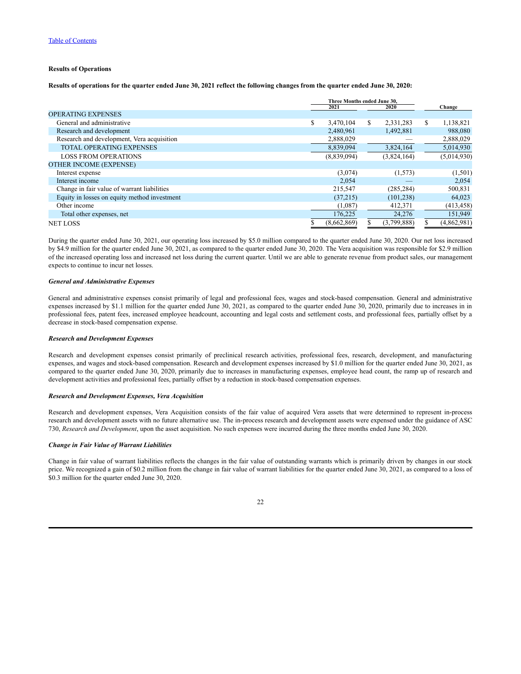# **Results of Operations**

Results of operations for the quarter ended June 30, 2021 reflect the following changes from the quarter ended June 30, 2020:

|                                              |   | Three Months ended June 30. |    |             |   |             |
|----------------------------------------------|---|-----------------------------|----|-------------|---|-------------|
|                                              |   | 2021                        |    | 2020        |   | Change      |
| <b>OPERATING EXPENSES</b>                    |   |                             |    |             |   |             |
| General and administrative                   | S | 3,470,104                   | \$ | 2,331,283   | S | 1,138,821   |
| Research and development                     |   | 2,480,961                   |    | 1,492,881   |   | 988,080     |
| Research and development, Vera acquisition   |   | 2,888,029                   |    |             |   | 2,888,029   |
| <b>TOTAL OPERATING EXPENSES</b>              |   | 8,839,094                   |    | 3,824,164   |   | 5,014,930   |
| <b>LOSS FROM OPERATIONS</b>                  |   | (8,839,094)                 |    | (3,824,164) |   | (5,014,930) |
| <b>OTHER INCOME (EXPENSE)</b>                |   |                             |    |             |   |             |
| Interest expense                             |   | (3,074)                     |    | (1,573)     |   | (1,501)     |
| Interest income                              |   | 2,054                       |    |             |   | 2,054       |
| Change in fair value of warrant liabilities  |   | 215,547                     |    | (285, 284)  |   | 500,831     |
| Equity in losses on equity method investment |   | (37,215)                    |    | (101, 238)  |   | 64,023      |
| Other income                                 |   | (1,087)                     |    | 412,371     |   | (413, 458)  |
| Total other expenses, net                    |   | 176,225                     |    | 24,276      |   | 151,949     |
| <b>NET LOSS</b>                              |   | (8,662,869)                 |    | (3,799,888) |   | (4,862,981) |

During the quarter ended June 30, 2021, our operating loss increased by \$5.0 million compared to the quarter ended June 30, 2020. Our net loss increased by \$4.9 million for the quarter ended June 30, 2021, as compared to the quarter ended June 30, 2020. The Vera acquisition was responsible for \$2.9 million of the increased operating loss and increased net loss during the current quarter. Until we are able to generate revenue from product sales, our management expects to continue to incur net losses.

#### *General and Administrative Expenses*

General and administrative expenses consist primarily of legal and professional fees, wages and stock-based compensation. General and administrative expenses increased by \$1.1 million for the quarter ended June 30, 2021, as compared to the quarter ended June 30, 2020, primarily due to increases in in professional fees, patent fees, increased employee headcount, accounting and legal costs and settlement costs, and professional fees, partially offset by a decrease in stock-based compensation expense.

#### *Research and Development Expenses*

Research and development expenses consist primarily of preclinical research activities, professional fees, research, development, and manufacturing expenses, and wages and stock-based compensation. Research and development expenses increased by \$1.0 million for the quarter ended June 30, 2021, as compared to the quarter ended June 30, 2020, primarily due to increases in manufacturing expenses, employee head count, the ramp up of research and development activities and professional fees, partially offset by a reduction in stock-based compensation expenses.

## *Research and Development Expenses, Vera Acquisition*

Research and development expenses, Vera Acquisition consists of the fair value of acquired Vera assets that were determined to represent in-process research and development assets with no future alternative use. The in-process research and development assets were expensed under the guidance of ASC 730, *Research and Development*, upon the asset acquisition. No such expenses were incurred during the three months ended June 30, 2020.

### *Change in Fair Value of Warrant Liabilities*

Change in fair value of warrant liabilities reflects the changes in the fair value of outstanding warrants which is primarily driven by changes in our stock price. We recognized a gain of \$0.2 million from the change in fair value of warrant liabilities for the quarter ended June 30, 2021, as compared to a loss of \$0.3 million for the quarter ended June 30, 2020.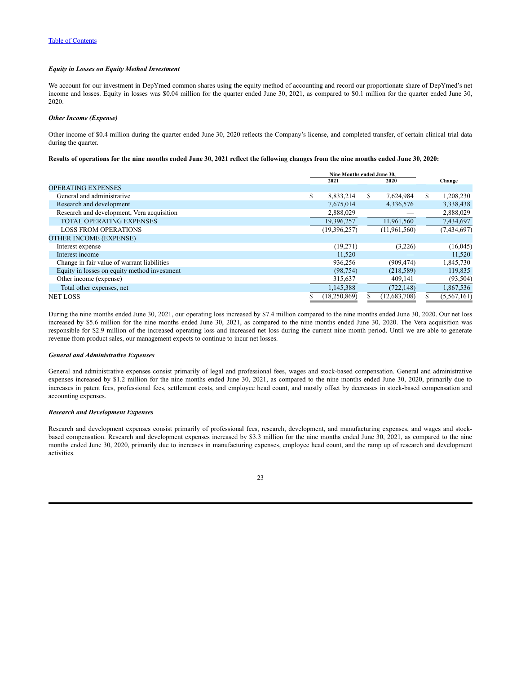## *Equity in Losses on Equity Method Investment*

We account for our investment in DepYmed common shares using the equity method of accounting and record our proportionate share of DepYmed's net income and losses. Equity in losses was \$0.04 million for the quarter ended June 30, 2021, as compared to \$0.1 million for the quarter ended June 30, 2020.

#### *Other Income (Expense)*

Other income of \$0.4 million during the quarter ended June 30, 2020 reflects the Company's license, and completed transfer, of certain clinical trial data during the quarter.

Results of operations for the nine months ended June 30, 2021 reflect the following changes from the nine months ended June 30, 2020:

| Nine Months ended June 30. |                |      |                |               |             |
|----------------------------|----------------|------|----------------|---------------|-------------|
|                            |                |      |                |               | Change      |
|                            |                |      |                |               |             |
| \$                         | 8,833,214      | \$   | 7,624,984      | <sup>\$</sup> | 1,208,230   |
|                            | 7,675,014      |      | 4,336,576      |               | 3,338,438   |
|                            | 2,888,029      |      |                |               | 2,888,029   |
|                            | 19,396,257     |      | 11,961,560     |               | 7,434,697   |
|                            | (19, 396, 257) |      | (11,961,560)   |               | (7,434,697) |
|                            |                |      |                |               |             |
|                            | (19,271)       |      | (3,226)        |               | (16,045)    |
|                            | 11,520         |      |                |               | 11,520      |
|                            | 936,256        |      | (909, 474)     |               | 1,845,730   |
|                            | (98, 754)      |      | (218, 589)     |               | 119,835     |
|                            | 315,637        |      | 409,141        |               | (93, 504)   |
|                            | 1,145,388      |      | (722, 148)     |               | 1,867,536   |
|                            | (18, 250, 869) |      | (12, 683, 708) |               | (5,567,161) |
|                            |                | 2021 |                | 2020          |             |

During the nine months ended June 30, 2021, our operating loss increased by \$7.4 million compared to the nine months ended June 30, 2020. Our net loss increased by \$5.6 million for the nine months ended June 30, 2021, as compared to the nine months ended June 30, 2020. The Vera acquisition was responsible for \$2.9 million of the increased operating loss and increased net loss during the current nine month period. Until we are able to generate revenue from product sales, our management expects to continue to incur net losses.

#### *General and Administrative Expenses*

General and administrative expenses consist primarily of legal and professional fees, wages and stock-based compensation. General and administrative expenses increased by \$1.2 million for the nine months ended June 30, 2021, as compared to the nine months ended June 30, 2020, primarily due to increases in patent fees, professional fees, settlement costs, and employee head count, and mostly offset by decreases in stock-based compensation and accounting expenses.

# *Research and Development Expenses*

Research and development expenses consist primarily of professional fees, research, development, and manufacturing expenses, and wages and stockbased compensation. Research and development expenses increased by \$3.3 million for the nine months ended June 30, 2021, as compared to the nine months ended June 30, 2020, primarily due to increases in manufacturing expenses, employee head count, and the ramp up of research and development activities.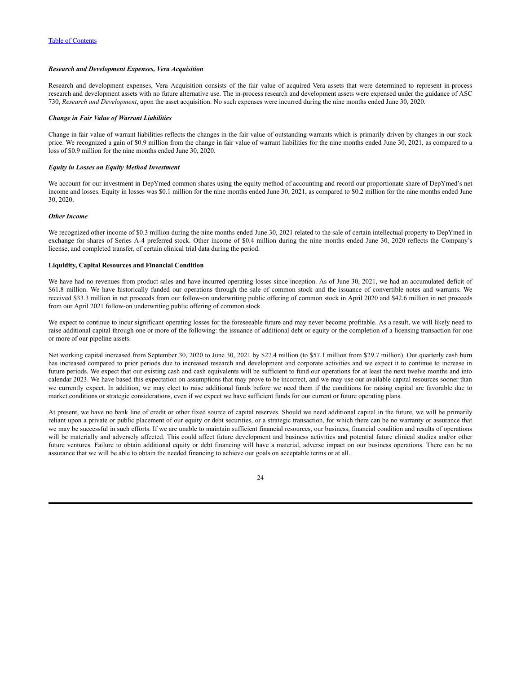### *Research and Development Expenses, Vera Acquisition*

Research and development expenses, Vera Acquisition consists of the fair value of acquired Vera assets that were determined to represent in-process research and development assets with no future alternative use. The in-process research and development assets were expensed under the guidance of ASC 730, *Research and Development*, upon the asset acquisition. No such expenses were incurred during the nine months ended June 30, 2020.

#### *Change in Fair Value of Warrant Liabilities*

Change in fair value of warrant liabilities reflects the changes in the fair value of outstanding warrants which is primarily driven by changes in our stock price. We recognized a gain of \$0.9 million from the change in fair value of warrant liabilities for the nine months ended June 30, 2021, as compared to a loss of \$0.9 million for the nine months ended June 30, 2020.

## *Equity in Losses on Equity Method Investment*

We account for our investment in DepYmed common shares using the equity method of accounting and record our proportionate share of DepYmed's net income and losses. Equity in losses was \$0.1 million for the nine months ended June 30, 2021, as compared to \$0.2 million for the nine months ended June 30, 2020.

#### *Other Income*

We recognized other income of \$0.3 million during the nine months ended June 30, 2021 related to the sale of certain intellectual property to DepYmed in exchange for shares of Series A-4 preferred stock. Other income of \$0.4 million during the nine months ended June 30, 2020 reflects the Company's license, and completed transfer, of certain clinical trial data during the period.

## **Liquidity, Capital Resources and Financial Condition**

We have had no revenues from product sales and have incurred operating losses since inception. As of June 30, 2021, we had an accumulated deficit of \$61.8 million. We have historically funded our operations through the sale of common stock and the issuance of convertible notes and warrants. We received \$33.3 million in net proceeds from our follow-on underwriting public offering of common stock in April 2020 and \$42.6 million in net proceeds from our April 2021 follow-on underwriting public offering of common stock.

We expect to continue to incur significant operating losses for the foreseeable future and may never become profitable. As a result, we will likely need to raise additional capital through one or more of the following: the issuance of additional debt or equity or the completion of a licensing transaction for one or more of our pipeline assets.

Net working capital increased from September 30, 2020 to June 30, 2021 by \$27.4 million (to \$57.1 million from \$29.7 million). Our quarterly cash burn has increased compared to prior periods due to increased research and development and corporate activities and we expect it to continue to increase in future periods. We expect that our existing cash and cash equivalents will be sufficient to fund our operations for at least the next twelve months and into calendar 2023. We have based this expectation on assumptions that may prove to be incorrect, and we may use our available capital resources sooner than we currently expect. In addition, we may elect to raise additional funds before we need them if the conditions for raising capital are favorable due to market conditions or strategic considerations, even if we expect we have sufficient funds for our current or future operating plans.

At present, we have no bank line of credit or other fixed source of capital reserves. Should we need additional capital in the future, we will be primarily reliant upon a private or public placement of our equity or debt securities, or a strategic transaction, for which there can be no warranty or assurance that we may be successful in such efforts. If we are unable to maintain sufficient financial resources, our business, financial condition and results of operations will be materially and adversely affected. This could affect future development and business activities and potential future clinical studies and/or other future ventures. Failure to obtain additional equity or debt financing will have a material, adverse impact on our business operations. There can be no assurance that we will be able to obtain the needed financing to achieve our goals on acceptable terms or at all.

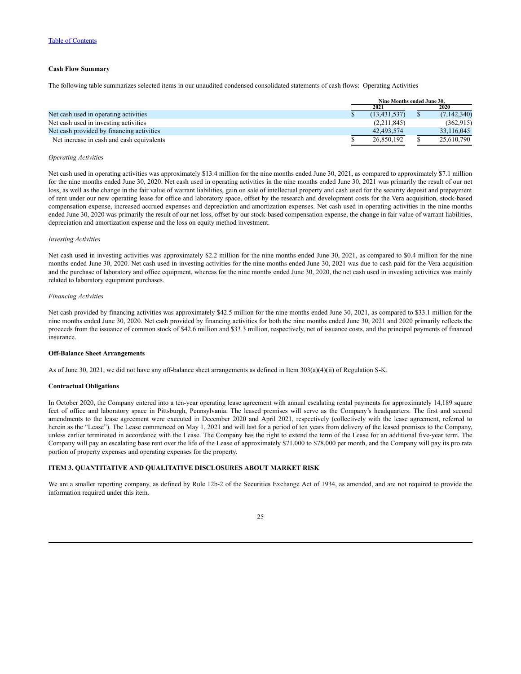## **Cash Flow Summary**

The following table summarizes selected items in our unaudited condensed consolidated statements of cash flows: Operating Activities

|                                           | Nine Months ended June 30. |  |             |  |
|-------------------------------------------|----------------------------|--|-------------|--|
|                                           | 2021                       |  | 2020        |  |
| Net cash used in operating activities     | (13, 431, 537)             |  | (7,142,340) |  |
| Net cash used in investing activities     | (2,211,845)                |  | (362, 915)  |  |
| Net cash provided by financing activities | 42.493.574                 |  | 33,116,045  |  |
| Net increase in cash and cash equivalents | 26.850.192                 |  | 25,610,790  |  |

#### *Operating Activities*

Net cash used in operating activities was approximately \$13.4 million for the nine months ended June 30, 2021, as compared to approximately \$7.1 million for the nine months ended June 30, 2020. Net cash used in operating activities in the nine months ended June 30, 2021 was primarily the result of our net loss, as well as the change in the fair value of warrant liabilities, gain on sale of intellectual property and cash used for the security deposit and prepayment of rent under our new operating lease for office and laboratory space, offset by the research and development costs for the Vera acquisition, stock-based compensation expense, increased accrued expenses and depreciation and amortization expenses. Net cash used in operating activities in the nine months ended June 30, 2020 was primarily the result of our net loss, offset by our stock-based compensation expense, the change in fair value of warrant liabilities, depreciation and amortization expense and the loss on equity method investment.

## *Investing Activities*

Net cash used in investing activities was approximately \$2.2 million for the nine months ended June 30, 2021, as compared to \$0.4 million for the nine months ended June 30, 2020. Net cash used in investing activities for the nine months ended June 30, 2021 was due to cash paid for the Vera acquisition and the purchase of laboratory and office equipment, whereas for the nine months ended June 30, 2020, the net cash used in investing activities was mainly related to laboratory equipment purchases.

#### *Financing Activities*

Net cash provided by financing activities was approximately \$42.5 million for the nine months ended June 30, 2021, as compared to \$33.1 million for the nine months ended June 30, 2020. Net cash provided by financing activities for both the nine months ended June 30, 2021 and 2020 primarily reflects the proceeds from the issuance of common stock of \$42.6 million and \$33.3 million, respectively, net of issuance costs, and the principal payments of financed insurance.

#### **Off-Balance Sheet Arrangements**

As of June 30, 2021, we did not have any off-balance sheet arrangements as defined in Item 303(a)(4)(ii) of Regulation S-K.

## **Contractual Obligations**

In October 2020, the Company entered into a ten-year operating lease agreement with annual escalating rental payments for approximately 14,189 square feet of office and laboratory space in Pittsburgh, Pennsylvania. The leased premises will serve as the Company's headquarters. The first and second amendments to the lease agreement were executed in December 2020 and April 2021, respectively (collectively with the lease agreement, referred to herein as the "Lease"). The Lease commenced on May 1, 2021 and will last for a period of ten years from delivery of the leased premises to the Company, unless earlier terminated in accordance with the Lease. The Company has the right to extend the term of the Lease for an additional five-year term. The Company will pay an escalating base rent over the life of the Lease of approximately \$71,000 to \$78,000 per month, and the Company will pay its pro rata portion of property expenses and operating expenses for the property.

# <span id="page-26-0"></span>**ITEM 3. QUANTITATIVE AND QUALITATIVE DISCLOSURES ABOUT MARKET RISK**

We are a smaller reporting company, as defined by Rule 12b-2 of the Securities Exchange Act of 1934, as amended, and are not required to provide the information required under this item.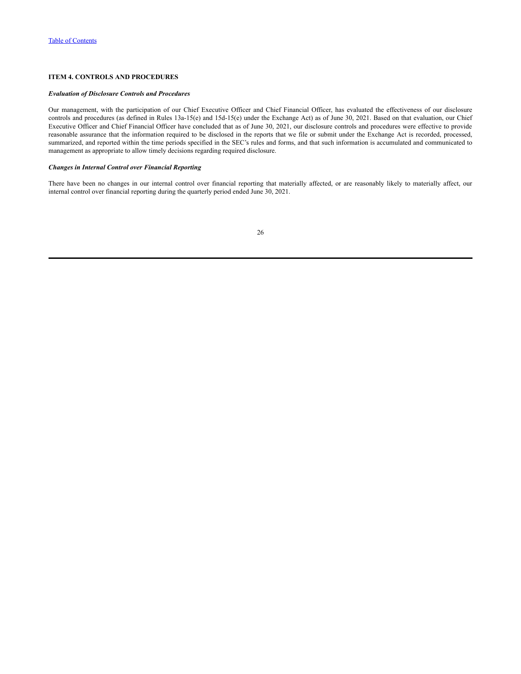# <span id="page-27-0"></span>**ITEM 4. CONTROLS AND PROCEDURES**

# *Evaluation of Disclosure Controls and Procedures*

Our management, with the participation of our Chief Executive Officer and Chief Financial Officer, has evaluated the effectiveness of our disclosure controls and procedures (as defined in Rules 13a-15(e) and 15d-15(e) under the Exchange Act) as of June 30, 2021. Based on that evaluation, our Chief Executive Officer and Chief Financial Officer have concluded that as of June 30, 2021, our disclosure controls and procedures were effective to provide reasonable assurance that the information required to be disclosed in the reports that we file or submit under the Exchange Act is recorded, processed, summarized, and reported within the time periods specified in the SEC's rules and forms, and that such information is accumulated and communicated to management as appropriate to allow timely decisions regarding required disclosure.

## *Changes in Internal Control over Financial Reporting*

There have been no changes in our internal control over financial reporting that materially affected, or are reasonably likely to materially affect, our internal control over financial reporting during the quarterly period ended June 30, 2021.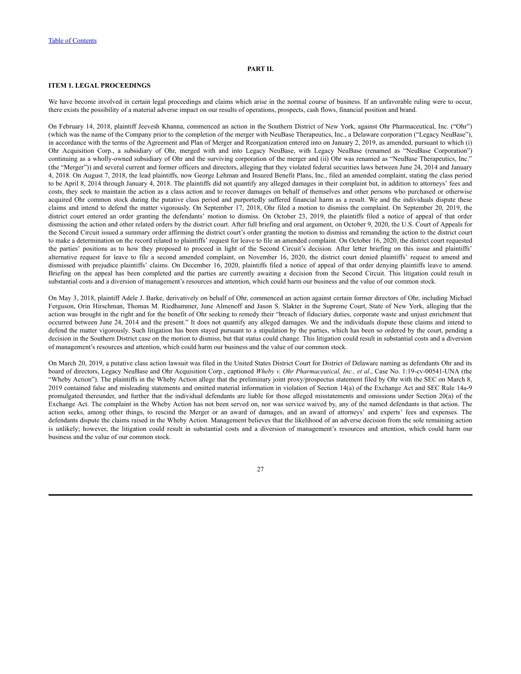# **PART II.**

# <span id="page-28-1"></span><span id="page-28-0"></span>**ITEM 1. LEGAL PROCEEDINGS**

We have become involved in certain legal proceedings and claims which arise in the normal course of business. If an unfavorable ruling were to occur, there exists the possibility of a material adverse impact on our results of operations, prospects, cash flows, financial position and brand.

On February 14, 2018, plaintiff Jeevesh Khanna, commenced an action in the Southern District of New York, against Ohr Pharmaceutical, Inc. ("Ohr") (which was the name of the Company prior to the completion of the merger with NeuBase Therapeutics, Inc., a Delaware corporation ("Legacy NeuBase"), in accordance with the terms of the Agreement and Plan of Merger and Reorganization entered into on January 2, 2019, as amended, pursuant to which (i) Ohr Acquisition Corp., a subsidiary of Ohr, merged with and into Legacy NeuBase, with Legacy NeuBase (renamed as "NeuBase Corporation") continuing as a wholly-owned subsidiary of Ohr and the surviving corporation of the merger and (ii) Ohr was renamed as "NeuBase Therapeutics, Inc." (the "Merger")) and several current and former officers and directors, alleging that they violated federal securities laws between June 24, 2014 and January 4, 2018. On August 7, 2018, the lead plaintiffs, now George Lehman and Insured Benefit Plans, Inc., filed an amended complaint, stating the class period to be April 8, 2014 through January 4, 2018. The plaintiffs did not quantify any alleged damages in their complaint but, in addition to attorneys' fees and costs, they seek to maintain the action as a class action and to recover damages on behalf of themselves and other persons who purchased or otherwise acquired Ohr common stock during the putative class period and purportedly suffered financial harm as a result. We and the individuals dispute these claims and intend to defend the matter vigorously. On September 17, 2018, Ohr filed a motion to dismiss the complaint. On September 20, 2019, the district court entered an order granting the defendants' motion to dismiss. On October 23, 2019, the plaintiffs filed a notice of appeal of that order dismissing the action and other related orders by the district court. After full briefing and oral argument, on October 9, 2020, the U.S. Court of Appeals for the Second Circuit issued a summary order affirming the district court's order granting the motion to dismiss and remanding the action to the district court to make a determination on the record related to plaintiffs' request for leave to file an amended complaint. On October 16, 2020, the district court requested the parties' positions as to how they proposed to proceed in light of the Second Circuit's decision. After letter briefing on this issue and plaintiffs' alternative request for leave to file a second amended complaint, on November 16, 2020, the district court denied plaintiffs' request to amend and dismissed with prejudice plaintiffs' claims. On December 16, 2020, plaintiffs filed a notice of appeal of that order denying plaintiffs leave to amend. Briefing on the appeal has been completed and the parties are currently awaiting a decision from the Second Circuit. This litigation could result in substantial costs and a diversion of management's resources and attention, which could harm our business and the value of our common stock.

On May 3, 2018, plaintiff Adele J. Barke, derivatively on behalf of Ohr, commenced an action against certain former directors of Ohr, including Michael Ferguson, Orin Hirschman, Thomas M. Riedhammer, June Almenoff and Jason S. Slakter in the Supreme Court, State of New York, alleging that the action was brought in the right and for the benefit of Ohr seeking to remedy their "breach of fiduciary duties, corporate waste and unjust enrichment that occurred between June 24, 2014 and the present." It does not quantify any alleged damages. We and the individuals dispute these claims and intend to defend the matter vigorously. Such litigation has been stayed pursuant to a stipulation by the parties, which has been so ordered by the court, pending a decision in the Southern District case on the motion to dismiss, but that status could change. This litigation could result in substantial costs and a diversion of management's resources and attention, which could harm our business and the value of our common stock.

On March 20, 2019, a putative class action lawsuit was filed in the United States District Court for District of Delaware naming as defendants Ohr and its board of directors, Legacy NeuBase and Ohr Acquisition Corp., captioned *Wheby v. Ohr Pharmaceutical, Inc., et al*., Case No. 1:19-cv-00541-UNA (the "Wheby Action"). The plaintiffs in the Wheby Action allege that the preliminary joint proxy/prospectus statement filed by Ohr with the SEC on March 8, 2019 contained false and misleading statements and omitted material information in violation of Section 14(a) of the Exchange Act and SEC Rule 14a-9 promulgated thereunder, and further that the individual defendants are liable for those alleged misstatements and omissions under Section 20(a) of the Exchange Act. The complaint in the Wheby Action has not been served on, nor was service waived by, any of the named defendants in that action. The action seeks, among other things, to rescind the Merger or an award of damages, and an award of attorneys' and experts' fees and expenses. The defendants dispute the claims raised in the Wheby Action. Management believes that the likelihood of an adverse decision from the sole remaining action is unlikely; however, the litigation could result in substantial costs and a diversion of management's resources and attention, which could harm our business and the value of our common stock.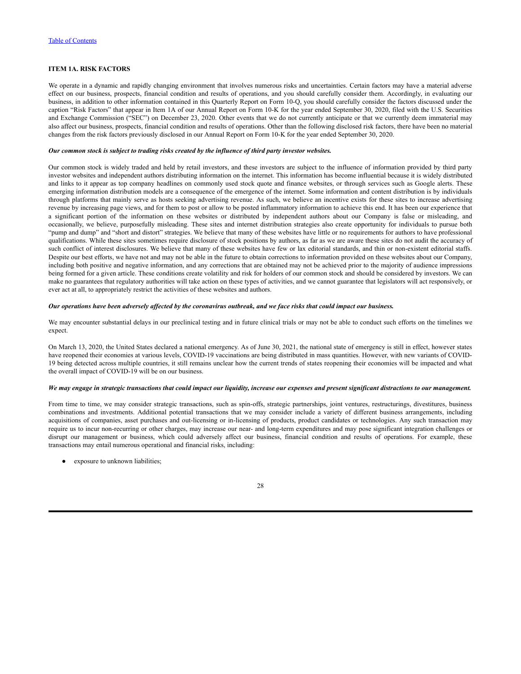# <span id="page-29-0"></span>**ITEM 1A. RISK FACTORS**

We operate in a dynamic and rapidly changing environment that involves numerous risks and uncertainties. Certain factors may have a material adverse effect on our business, prospects, financial condition and results of operations, and you should carefully consider them. Accordingly, in evaluating our business, in addition to other information contained in this Quarterly Report on Form 10-Q, you should carefully consider the factors discussed under the caption "Risk Factors" that appear in Item 1A of our Annual Report on Form 10-K for the year ended September 30, 2020, filed with the U.S. Securities and Exchange Commission ("SEC") on December 23, 2020. Other events that we do not currently anticipate or that we currently deem immaterial may also affect our business, prospects, financial condition and results of operations. Other than the following disclosed risk factors, there have been no material changes from the risk factors previously disclosed in our Annual Report on Form 10-K for the year ended September 30, 2020.

#### *Our common stock is subject to trading risks created by the influence of third party investor websites.*

Our common stock is widely traded and held by retail investors, and these investors are subject to the influence of information provided by third party investor websites and independent authors distributing information on the internet. This information has become influential because it is widely distributed and links to it appear as top company headlines on commonly used stock quote and finance websites, or through services such as Google alerts. These emerging information distribution models are a consequence of the emergence of the internet. Some information and content distribution is by individuals through platforms that mainly serve as hosts seeking advertising revenue. As such, we believe an incentive exists for these sites to increase advertising revenue by increasing page views, and for them to post or allow to be posted inflammatory information to achieve this end. It has been our experience that a significant portion of the information on these websites or distributed by independent authors about our Company is false or misleading, and occasionally, we believe, purposefully misleading. These sites and internet distribution strategies also create opportunity for individuals to pursue both "pump and dump" and "short and distort" strategies. We believe that many of these websites have little or no requirements for authors to have professional qualifications. While these sites sometimes require disclosure of stock positions by authors, as far as we are aware these sites do not audit the accuracy of such conflict of interest disclosures. We believe that many of these websites have few or lax editorial standards, and thin or non-existent editorial staffs. Despite our best efforts, we have not and may not be able in the future to obtain corrections to information provided on these websites about our Company, including both positive and negative information, and any corrections that are obtained may not be achieved prior to the majority of audience impressions being formed for a given article. These conditions create volatility and risk for holders of our common stock and should be considered by investors. We can make no guarantees that regulatory authorities will take action on these types of activities, and we cannot guarantee that legislators will act responsively, or ever act at all, to appropriately restrict the activities of these websites and authors.

#### Our operations have been adversely affected by the coronavirus outbreak, and we face risks that could impact our business.

We may encounter substantial delays in our preclinical testing and in future clinical trials or may not be able to conduct such efforts on the timelines we expect.

On March 13, 2020, the United States declared a national emergency. As of June 30, 2021, the national state of emergency is still in effect, however states have reopened their economies at various levels, COVID-19 vaccinations are being distributed in mass quantities. However, with new variants of COVID-19 being detected across multiple countries, it still remains unclear how the current trends of states reopening their economies will be impacted and what the overall impact of COVID-19 will be on our business.

## We may engage in strategic transactions that could impact our liquidity, increase our expenses and present significant distractions to our management.

From time to time, we may consider strategic transactions, such as spin-offs, strategic partnerships, joint ventures, restructurings, divestitures, business combinations and investments. Additional potential transactions that we may consider include a variety of different business arrangements, including acquisitions of companies, asset purchases and out-licensing or in-licensing of products, product candidates or technologies. Any such transaction may require us to incur non-recurring or other charges, may increase our near- and long-term expenditures and may pose significant integration challenges or disrupt our management or business, which could adversely affect our business, financial condition and results of operations. For example, these transactions may entail numerous operational and financial risks, including:

• exposure to unknown liabilities;

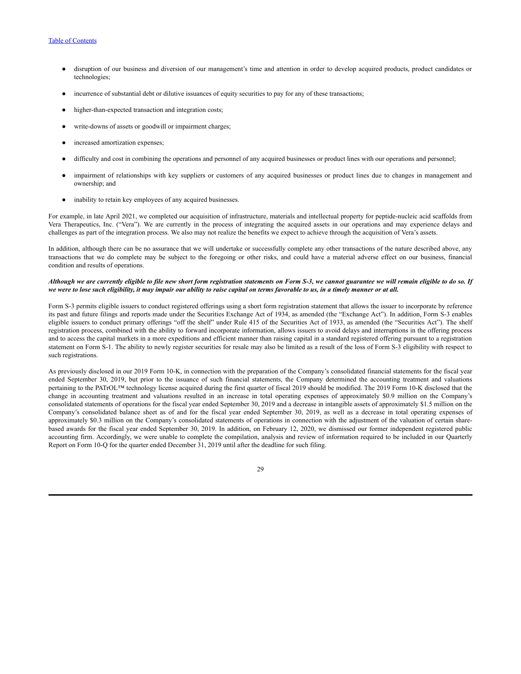- disruption of our business and diversion of our management's time and attention in order to develop acquired products, product candidates or technologies;
- incurrence of substantial debt or dilutive issuances of equity securities to pay for any of these transactions;
- higher-than-expected transaction and integration costs;
- write-downs of assets or goodwill or impairment charges;
- increased amortization expenses;
- difficulty and cost in combining the operations and personnel of any acquired businesses or product lines with our operations and personnel;
- impairment of relationships with key suppliers or customers of any acquired businesses or product lines due to changes in management and ownership; and
- inability to retain key employees of any acquired businesses.

For example, in late April 2021, we completed our acquisition of infrastructure, materials and intellectual property for peptide-nucleic acid scaffolds from Vera Therapeutics, Inc. ("Vera"). We are currently in the process of integrating the acquired assets in our operations and may experience delays and challenges as part of the integration process. We also may not realize the benefits we expect to achieve through the acquisition of Vera's assets.

In addition, although there can be no assurance that we will undertake or successfully complete any other transactions of the nature described above, any transactions that we do complete may be subject to the foregoing or other risks, and could have a material adverse effect on our business, financial condition and results of operations.

#### Although we are currently eligible to file new short form registration statements on Form S-3, we cannot guarantee we will remain eligible to do so. If we were to lose such eligibility, it may impair our ability to raise capital on terms favorable to us, in a timely manner or at all.

Form S-3 permits eligible issuers to conduct registered offerings using a short form registration statement that allows the issuer to incorporate by reference its past and future filings and reports made under the Securities Exchange Act of 1934, as amended (the "Exchange Act"). In addition, Form S-3 enables eligible issuers to conduct primary offerings "off the shelf" under Rule 415 of the Securities Act of 1933, as amended (the "Securities Act"). The shelf registration process, combined with the ability to forward incorporate information, allows issuers to avoid delays and interruptions in the offering process and to access the capital markets in a more expeditions and efficient manner than raising capital in a standard registered offering pursuant to a registration statement on Form S-1. The ability to newly register securities for resale may also be limited as a result of the loss of Form S-3 eligibility with respect to such registrations.

As previously disclosed in our 2019 Form 10-K, in connection with the preparation of the Company's consolidated financial statements for the fiscal year ended September 30, 2019, but prior to the issuance of such financial statements, the Company determined the accounting treatment and valuations pertaining to the PATrOL™ technology license acquired during the first quarter of fiscal 2019 should be modified. The 2019 Form 10-K disclosed that the change in accounting treatment and valuations resulted in an increase in total operating expenses of approximately \$0.9 million on the Company's consolidated statements of operations for the fiscal year ended September 30, 2019 and a decrease in intangible assets of approximately \$1.5 million on the Company's consolidated balance sheet as of and for the fiscal year ended September 30, 2019, as well as a decrease in total operating expenses of approximately \$0.3 million on the Company's consolidated statements of operations in connection with the adjustment of the valuation of certain sharebased awards for the fiscal year ended September 30, 2019. In addition, on February 12, 2020, we dismissed our former independent registered public accounting firm. Accordingly, we were unable to complete the compilation, analysis and review of information required to be included in our Quarterly Report on Form 10-Q for the quarter ended December 31, 2019 until after the deadline for such filing.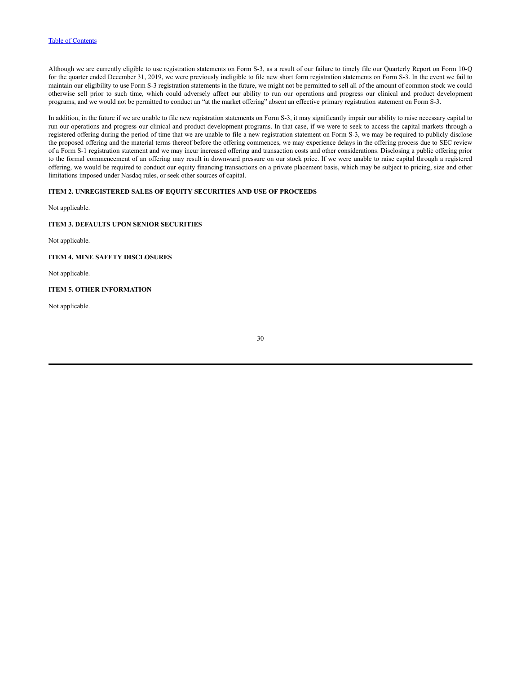Although we are currently eligible to use registration statements on Form S-3, as a result of our failure to timely file our Quarterly Report on Form 10-Q for the quarter ended December 31, 2019, we were previously ineligible to file new short form registration statements on Form S-3. In the event we fail to maintain our eligibility to use Form S-3 registration statements in the future, we might not be permitted to sell all of the amount of common stock we could otherwise sell prior to such time, which could adversely affect our ability to run our operations and progress our clinical and product development programs, and we would not be permitted to conduct an "at the market offering" absent an effective primary registration statement on Form S-3.

In addition, in the future if we are unable to file new registration statements on Form S-3, it may significantly impair our ability to raise necessary capital to run our operations and progress our clinical and product development programs. In that case, if we were to seek to access the capital markets through a registered offering during the period of time that we are unable to file a new registration statement on Form S-3, we may be required to publicly disclose the proposed offering and the material terms thereof before the offering commences, we may experience delays in the offering process due to SEC review of a Form S-1 registration statement and we may incur increased offering and transaction costs and other considerations. Disclosing a public offering prior to the formal commencement of an offering may result in downward pressure on our stock price. If we were unable to raise capital through a registered offering, we would be required to conduct our equity financing transactions on a private placement basis, which may be subject to pricing, size and other limitations imposed under Nasdaq rules, or seek other sources of capital.

# <span id="page-31-0"></span>**ITEM 2. UNREGISTERED SALES OF EQUITY SECURITIES AND USE OF PROCEEDS**

Not applicable.

#### <span id="page-31-1"></span>**ITEM 3. DEFAULTS UPON SENIOR SECURITIES**

Not applicable.

<span id="page-31-2"></span>**ITEM 4. MINE SAFETY DISCLOSURES**

Not applicable.

# <span id="page-31-3"></span>**ITEM 5. OTHER INFORMATION**

Not applicable.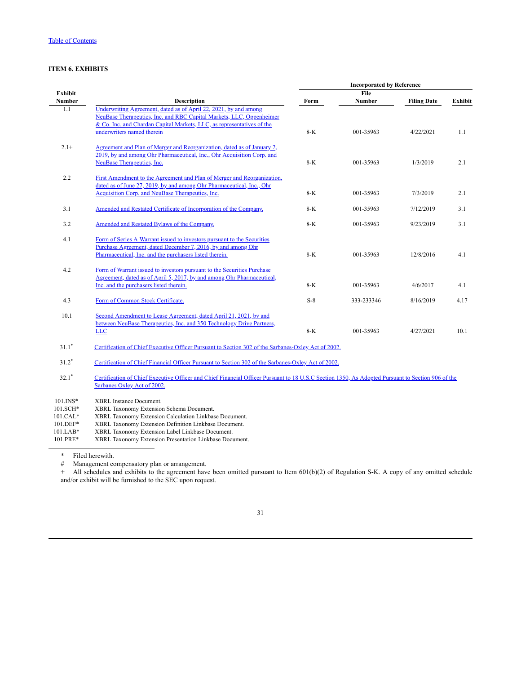# <span id="page-32-0"></span>**ITEM 6. EXHIBITS**

|            |                                                                                                                                                   | <b>Incorporated by Reference</b> |            |                    |                |  |  |  |
|------------|---------------------------------------------------------------------------------------------------------------------------------------------------|----------------------------------|------------|--------------------|----------------|--|--|--|
| Exhibit    |                                                                                                                                                   |                                  | File       |                    |                |  |  |  |
| Number     | <b>Description</b>                                                                                                                                | Form                             | Number     | <b>Filing Date</b> | <b>Exhibit</b> |  |  |  |
| 1.1        | Underwriting Agreement, dated as of April 22, 2021, by and among                                                                                  |                                  |            |                    |                |  |  |  |
|            | NeuBase Therapeutics, Inc. and RBC Capital Markets, LLC, Oppenheimer                                                                              |                                  |            |                    |                |  |  |  |
|            | & Co. Inc. and Chardan Capital Markets, LLC, as representatives of the                                                                            |                                  |            |                    |                |  |  |  |
|            | underwriters named therein                                                                                                                        | $8-K$                            | 001-35963  | 4/22/2021          | 1.1            |  |  |  |
| $2.1+$     | Agreement and Plan of Merger and Reorganization, dated as of January 2,                                                                           |                                  |            |                    |                |  |  |  |
|            | 2019, by and among Ohr Pharmaceutical, Inc., Ohr Acquisition Corp. and                                                                            |                                  |            |                    |                |  |  |  |
|            | NeuBase Therapeutics, Inc.                                                                                                                        | $8-K$                            | 001-35963  | 1/3/2019           | 2.1            |  |  |  |
| 2.2        | First Amendment to the Agreement and Plan of Merger and Reorganization,                                                                           |                                  |            |                    |                |  |  |  |
|            | dated as of June 27, 2019, by and among Ohr Pharmaceutical, Inc., Ohr                                                                             |                                  |            |                    |                |  |  |  |
|            | Acquisition Corp. and NeuBase Therapeutics, Inc.                                                                                                  | $8-K$                            | 001-35963  | 7/3/2019           | 2.1            |  |  |  |
| 3.1        | Amended and Restated Certificate of Incorporation of the Company.                                                                                 | $8-K$                            | 001-35963  | 7/12/2019          | 3.1            |  |  |  |
| 3.2        | Amended and Restated Bylaws of the Company.                                                                                                       | $8-K$                            | 001-35963  | 9/23/2019          | 3.1            |  |  |  |
| 4.1        | Form of Series A Warrant issued to investors pursuant to the Securities                                                                           |                                  |            |                    |                |  |  |  |
|            | Purchase Agreement, dated December 7, 2016, by and among Ohr                                                                                      |                                  |            |                    |                |  |  |  |
|            | Pharmaceutical, Inc. and the purchasers listed therein.                                                                                           | $8-K$                            | 001-35963  | 12/8/2016          | 4.1            |  |  |  |
| 4.2        | Form of Warrant issued to investors pursuant to the Securities Purchase                                                                           |                                  |            |                    |                |  |  |  |
|            | Agreement, dated as of April 5, 2017, by and among Ohr Pharmaceutical,                                                                            |                                  |            |                    |                |  |  |  |
|            | Inc. and the purchasers listed therein.                                                                                                           | $8-K$                            | 001-35963  | 4/6/2017           | 4.1            |  |  |  |
| 4.3        | Form of Common Stock Certificate.                                                                                                                 | $S-8$                            | 333-233346 | 8/16/2019          | 4.17           |  |  |  |
| 10.1       | Second Amendment to Lease Agreement, dated April 21, 2021, by and                                                                                 |                                  |            |                    |                |  |  |  |
|            | between NeuBase Therapeutics, Inc. and 350 Technology Drive Partners,                                                                             |                                  |            |                    |                |  |  |  |
|            | <b>LLC</b>                                                                                                                                        | $8-K$                            | 001-35963  | 4/27/2021          | 10.1           |  |  |  |
| $31.1*$    | Certification of Chief Executive Officer Pursuant to Section 302 of the Sarbanes-Oxley Act of 2002.                                               |                                  |            |                    |                |  |  |  |
| $31.2*$    | Certification of Chief Financial Officer Pursuant to Section 302 of the Sarbanes-Oxley Act of 2002.                                               |                                  |            |                    |                |  |  |  |
| $32.1*$    | Certification of Chief Executive Officer and Chief Financial Officer Pursuant to 18 U.S.C Section 1350, As Adopted Pursuant to Section 906 of the |                                  |            |                    |                |  |  |  |
|            | Sarbanes Oxley Act of 2002.                                                                                                                       |                                  |            |                    |                |  |  |  |
| 101.INS*   | <b>XBRL</b> Instance Document.                                                                                                                    |                                  |            |                    |                |  |  |  |
| 101.SCH*   | XBRL Taxonomy Extension Schema Document.                                                                                                          |                                  |            |                    |                |  |  |  |
| $101.CAL*$ | XBRL Taxonomy Extension Calculation Linkbase Document.                                                                                            |                                  |            |                    |                |  |  |  |
| $101$ DEE* | VDDL Toyanamy Extension Definition Linkhose Document                                                                                              |                                  |            |                    |                |  |  |  |

101.DEF\* XBRL Taxonomy Extension Definition Linkbase Document.<br>101.LAB\* XBRL Taxonomy Extension Label Linkbase Document.

101.LAB\* XBRL Taxonomy Extension Label Linkbase Document.

XBRL Taxonomy Extension Presentation Linkbase Document.

\* Filed herewith.<br># Management co

Management compensatory plan or arrangement.

+ All schedules and exhibits to the agreement have been omitted pursuant to Item 601(b)(2) of Regulation S-K. A copy of any omitted schedule and/or exhibit will be furnished to the SEC upon request.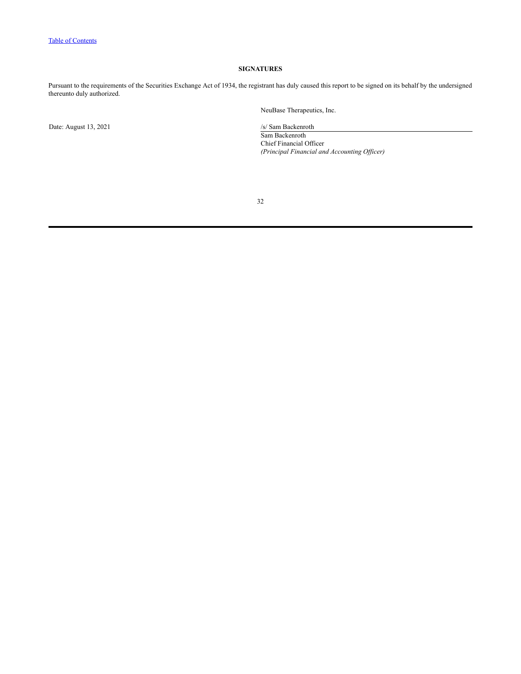# **SIGNATURES**

<span id="page-33-0"></span>Pursuant to the requirements of the Securities Exchange Act of 1934, the registrant has duly caused this report to be signed on its behalf by the undersigned thereunto duly authorized.

Date: August 13, 2021 /s/ Sam Backenroth

NeuBase Therapeutics, Inc.

Sam Backenroth Chief Financial Officer *(Principal Financial and Accounting Of icer)*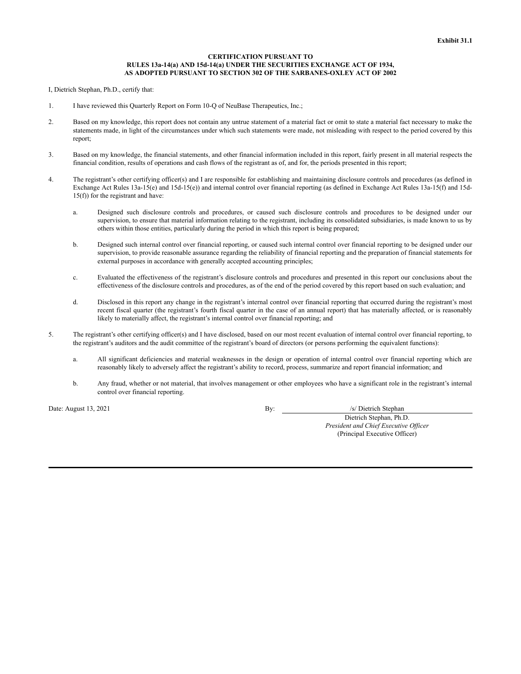## **CERTIFICATION PURSUANT TO RULES 13a-14(a) AND 15d-14(a) UNDER THE SECURITIES EXCHANGE ACT OF 1934, AS ADOPTED PURSUANT TO SECTION 302 OF THE SARBANES-OXLEY ACT OF 2002**

I, Dietrich Stephan, Ph.D., certify that:

- 1. I have reviewed this Quarterly Report on Form 10-Q of NeuBase Therapeutics, Inc.;
- 2. Based on my knowledge, this report does not contain any untrue statement of a material fact or omit to state a material fact necessary to make the statements made, in light of the circumstances under which such statements were made, not misleading with respect to the period covered by this report;
- 3. Based on my knowledge, the financial statements, and other financial information included in this report, fairly present in all material respects the financial condition, results of operations and cash flows of the registrant as of, and for, the periods presented in this report;
- 4. The registrant's other certifying officer(s) and I are responsible for establishing and maintaining disclosure controls and procedures (as defined in Exchange Act Rules 13a-15(e) and 15d-15(e)) and internal control over financial reporting (as defined in Exchange Act Rules 13a-15(f) and 15d-15(f)) for the registrant and have:
	- a. Designed such disclosure controls and procedures, or caused such disclosure controls and procedures to be designed under our supervision, to ensure that material information relating to the registrant, including its consolidated subsidiaries, is made known to us by others within those entities, particularly during the period in which this report is being prepared;
	- b. Designed such internal control over financial reporting, or caused such internal control over financial reporting to be designed under our supervision, to provide reasonable assurance regarding the reliability of financial reporting and the preparation of financial statements for external purposes in accordance with generally accepted accounting principles;
	- c. Evaluated the effectiveness of the registrant's disclosure controls and procedures and presented in this report our conclusions about the effectiveness of the disclosure controls and procedures, as of the end of the period covered by this report based on such evaluation; and
	- d. Disclosed in this report any change in the registrant's internal control over financial reporting that occurred during the registrant's most recent fiscal quarter (the registrant's fourth fiscal quarter in the case of an annual report) that has materially affected, or is reasonably likely to materially affect, the registrant's internal control over financial reporting; and
- 5. The registrant's other certifying officer(s) and I have disclosed, based on our most recent evaluation of internal control over financial reporting, to the registrant's auditors and the audit committee of the registrant's board of directors (or persons performing the equivalent functions):
	- a. All significant deficiencies and material weaknesses in the design or operation of internal control over financial reporting which are reasonably likely to adversely affect the registrant's ability to record, process, summarize and report financial information; and
	- b. Any fraud, whether or not material, that involves management or other employees who have a significant role in the registrant's internal control over financial reporting.

Date: August 13, 2021 By: *By: S/ Dietrich Stephan* 

Dietrich Stephan, Ph.D. *President and Chief Executive Of icer* (Principal Executive Officer)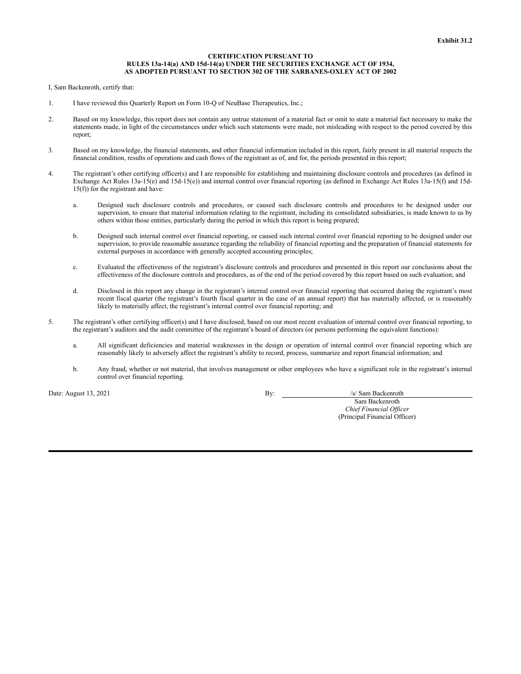## **CERTIFICATION PURSUANT TO RULES 13a-14(a) AND 15d-14(a) UNDER THE SECURITIES EXCHANGE ACT OF 1934, AS ADOPTED PURSUANT TO SECTION 302 OF THE SARBANES-OXLEY ACT OF 2002**

I, Sam Backenroth, certify that:

- 1. I have reviewed this Quarterly Report on Form 10-Q of NeuBase Therapeutics, Inc.;
- 2. Based on my knowledge, this report does not contain any untrue statement of a material fact or omit to state a material fact necessary to make the statements made, in light of the circumstances under which such statements were made, not misleading with respect to the period covered by this report;
- 3. Based on my knowledge, the financial statements, and other financial information included in this report, fairly present in all material respects the financial condition, results of operations and cash flows of the registrant as of, and for, the periods presented in this report;
- 4. The registrant's other certifying officer(s) and I are responsible for establishing and maintaining disclosure controls and procedures (as defined in Exchange Act Rules 13a-15(e) and 15d-15(e)) and internal control over financial reporting (as defined in Exchange Act Rules 13a-15(f) and 15d-15(f)) for the registrant and have:
	- a. Designed such disclosure controls and procedures, or caused such disclosure controls and procedures to be designed under our supervision, to ensure that material information relating to the registrant, including its consolidated subsidiaries, is made known to us by others within those entities, particularly during the period in which this report is being prepared;
	- b. Designed such internal control over financial reporting, or caused such internal control over financial reporting to be designed under our supervision, to provide reasonable assurance regarding the reliability of financial reporting and the preparation of financial statements for external purposes in accordance with generally accepted accounting principles;
	- c. Evaluated the effectiveness of the registrant's disclosure controls and procedures and presented in this report our conclusions about the effectiveness of the disclosure controls and procedures, as of the end of the period covered by this report based on such evaluation; and
	- d. Disclosed in this report any change in the registrant's internal control over financial reporting that occurred during the registrant's most recent fiscal quarter (the registrant's fourth fiscal quarter in the case of an annual report) that has materially affected, or is reasonably likely to materially affect, the registrant's internal control over financial reporting; and
- 5. The registrant's other certifying officer(s) and I have disclosed, based on our most recent evaluation of internal control over financial reporting, to the registrant's auditors and the audit committee of the registrant's board of directors (or persons performing the equivalent functions):
	- a. All significant deficiencies and material weaknesses in the design or operation of internal control over financial reporting which are reasonably likely to adversely affect the registrant's ability to record, process, summarize and report financial information; and
	- b. Any fraud, whether or not material, that involves management or other employees who have a significant role in the registrant's internal control over financial reporting.

Date: August 13, 2021 **By:** *S/ Sam Backenroth* 

Sam Backenroth *Chief Financial Of icer* (Principal Financial Officer)